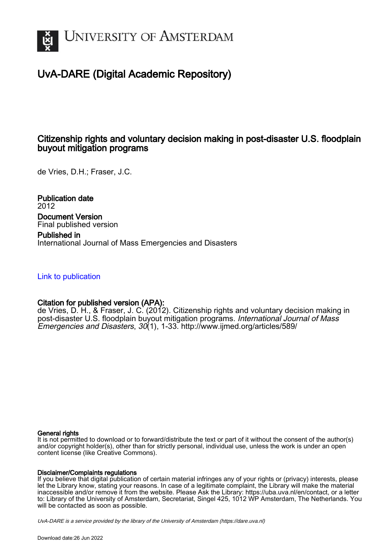

# UvA-DARE (Digital Academic Repository)

## Citizenship rights and voluntary decision making in post-disaster U.S. floodplain buyout mitigation programs

de Vries, D.H.; Fraser, J.C.

Publication date 2012 Document Version Final published version

Published in International Journal of Mass Emergencies and Disasters

## [Link to publication](https://dare.uva.nl/personal/pure/en/publications/citizenship-rights-and-voluntary-decision-making-in-postdisaster-us-floodplain-buyout-mitigation-programs(aafa3ebb-287f-41a1-a75e-8fe0554254d3).html)

## Citation for published version (APA):

de Vries, D. H., & Fraser, J. C. (2012). Citizenship rights and voluntary decision making in post-disaster U.S. floodplain buyout mitigation programs. International Journal of Mass Emergencies and Disasters, 30(1), 1-33. <http://www.ijmed.org/articles/589/>

#### General rights

It is not permitted to download or to forward/distribute the text or part of it without the consent of the author(s) and/or copyright holder(s), other than for strictly personal, individual use, unless the work is under an open content license (like Creative Commons).

## Disclaimer/Complaints regulations

If you believe that digital publication of certain material infringes any of your rights or (privacy) interests, please let the Library know, stating your reasons. In case of a legitimate complaint, the Library will make the material inaccessible and/or remove it from the website. Please Ask the Library: https://uba.uva.nl/en/contact, or a letter to: Library of the University of Amsterdam, Secretariat, Singel 425, 1012 WP Amsterdam, The Netherlands. You will be contacted as soon as possible.

UvA-DARE is a service provided by the library of the University of Amsterdam (http*s*://dare.uva.nl)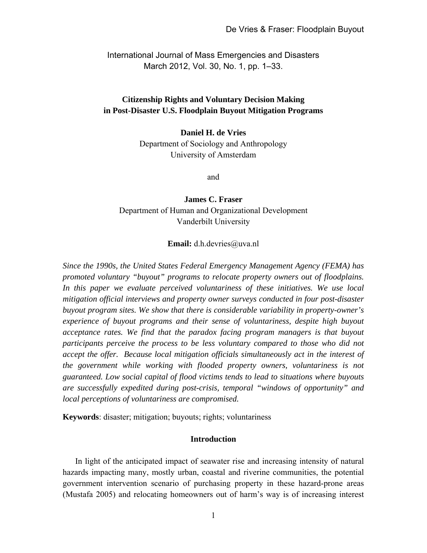International Journal of Mass Emergencies and Disasters March 2012, Vol. 30, No. 1, pp. 1–33.

## **Citizenship Rights and Voluntary Decision Making in Post-Disaster U.S. Floodplain Buyout Mitigation Programs**

#### **Daniel H. de Vries**

Department of Sociology and Anthropology University of Amsterdam

and

**James C. Fraser**  Department of Human and Organizational Development Vanderbilt University

#### **Email:** d.h.devries@uva.nl

*Since the 1990s, the United States Federal Emergency Management Agency (FEMA) has promoted voluntary "buyout" programs to relocate property owners out of floodplains. In this paper we evaluate perceived voluntariness of these initiatives. We use local mitigation official interviews and property owner surveys conducted in four post-disaster buyout program sites. We show that there is considerable variability in property-owner's experience of buyout programs and their sense of voluntariness, despite high buyout acceptance rates. We find that the paradox facing program managers is that buyout participants perceive the process to be less voluntary compared to those who did not accept the offer. Because local mitigation officials simultaneously act in the interest of the government while working with flooded property owners, voluntariness is not guaranteed. Low social capital of flood victims tends to lead to situations where buyouts are successfully expedited during post-crisis, temporal "windows of opportunity" and local perceptions of voluntariness are compromised.* 

**Keywords**: disaster; mitigation; buyouts; rights; voluntariness

## **Introduction**

In light of the anticipated impact of seawater rise and increasing intensity of natural hazards impacting many, mostly urban, coastal and riverine communities, the potential government intervention scenario of purchasing property in these hazard-prone areas (Mustafa 2005) and relocating homeowners out of harm's way is of increasing interest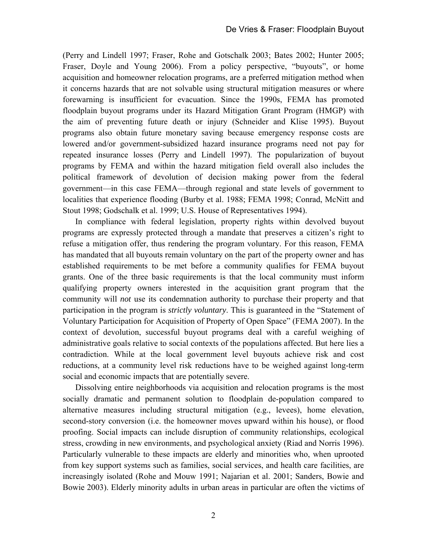(Perry and Lindell 1997; Fraser, Rohe and Gotschalk 2003; Bates 2002; Hunter 2005; Fraser, Doyle and Young 2006). From a policy perspective, "buyouts", or home acquisition and homeowner relocation programs, are a preferred mitigation method when it concerns hazards that are not solvable using structural mitigation measures or where forewarning is insufficient for evacuation. Since the 1990s, FEMA has promoted floodplain buyout programs under its Hazard Mitigation Grant Program (HMGP) with the aim of preventing future death or injury (Schneider and Klise 1995). Buyout programs also obtain future monetary saving because emergency response costs are lowered and/or government-subsidized hazard insurance programs need not pay for repeated insurance losses (Perry and Lindell 1997). The popularization of buyout programs by FEMA and within the hazard mitigation field overall also includes the political framework of devolution of decision making power from the federal government—in this case FEMA—through regional and state levels of government to localities that experience flooding (Burby et al. 1988; FEMA 1998; Conrad, McNitt and Stout 1998; Godschalk et al. 1999; U.S. House of Representatives 1994).

In compliance with federal legislation, property rights within devolved buyout programs are expressly protected through a mandate that preserves a citizen's right to refuse a mitigation offer, thus rendering the program voluntary. For this reason, FEMA has mandated that all buyouts remain voluntary on the part of the property owner and has established requirements to be met before a community qualifies for FEMA buyout grants. One of the three basic requirements is that the local community must inform qualifying property owners interested in the acquisition grant program that the community will *not* use its condemnation authority to purchase their property and that participation in the program is *strictly voluntary*. This is guaranteed in the "Statement of Voluntary Participation for Acquisition of Property of Open Space" (FEMA 2007). In the context of devolution, successful buyout programs deal with a careful weighing of administrative goals relative to social contexts of the populations affected. But here lies a contradiction. While at the local government level buyouts achieve risk and cost reductions, at a community level risk reductions have to be weighed against long-term social and economic impacts that are potentially severe.

Dissolving entire neighborhoods via acquisition and relocation programs is the most socially dramatic and permanent solution to floodplain de-population compared to alternative measures including structural mitigation (e.g., levees), home elevation, second-story conversion (i.e. the homeowner moves upward within his house), or flood proofing. Social impacts can include disruption of community relationships, ecological stress, crowding in new environments, and psychological anxiety (Riad and Norris 1996). Particularly vulnerable to these impacts are elderly and minorities who, when uprooted from key support systems such as families, social services, and health care facilities, are increasingly isolated (Rohe and Mouw 1991; Najarian et al. 2001; Sanders, Bowie and Bowie 2003). Elderly minority adults in urban areas in particular are often the victims of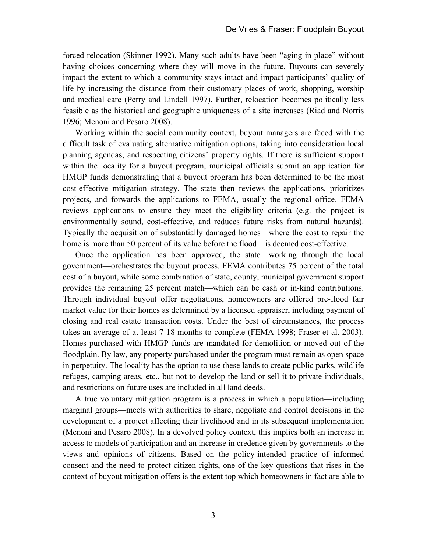forced relocation (Skinner 1992). Many such adults have been "aging in place" without having choices concerning where they will move in the future. Buyouts can severely impact the extent to which a community stays intact and impact participants' quality of life by increasing the distance from their customary places of work, shopping, worship and medical care (Perry and Lindell 1997). Further, relocation becomes politically less feasible as the historical and geographic uniqueness of a site increases (Riad and Norris 1996; Menoni and Pesaro 2008).

Working within the social community context, buyout managers are faced with the difficult task of evaluating alternative mitigation options, taking into consideration local planning agendas, and respecting citizens' property rights. If there is sufficient support within the locality for a buyout program, municipal officials submit an application for HMGP funds demonstrating that a buyout program has been determined to be the most cost-effective mitigation strategy. The state then reviews the applications, prioritizes projects, and forwards the applications to FEMA, usually the regional office. FEMA reviews applications to ensure they meet the eligibility criteria (e.g. the project is environmentally sound, cost-effective, and reduces future risks from natural hazards). Typically the acquisition of substantially damaged homes—where the cost to repair the home is more than 50 percent of its value before the flood—is deemed cost-effective.

Once the application has been approved, the state—working through the local government—orchestrates the buyout process. FEMA contributes 75 percent of the total cost of a buyout, while some combination of state, county, municipal government support provides the remaining 25 percent match—which can be cash or in-kind contributions. Through individual buyout offer negotiations, homeowners are offered pre-flood fair market value for their homes as determined by a licensed appraiser, including payment of closing and real estate transaction costs. Under the best of circumstances, the process takes an average of at least 7-18 months to complete (FEMA 1998; Fraser et al. 2003). Homes purchased with HMGP funds are mandated for demolition or moved out of the floodplain. By law, any property purchased under the program must remain as open space in perpetuity. The locality has the option to use these lands to create public parks, wildlife refuges, camping areas, etc., but not to develop the land or sell it to private individuals, and restrictions on future uses are included in all land deeds.

A true voluntary mitigation program is a process in which a population—including marginal groups—meets with authorities to share, negotiate and control decisions in the development of a project affecting their livelihood and in its subsequent implementation (Menoni and Pesaro 2008). In a devolved policy context, this implies both an increase in access to models of participation and an increase in credence given by governments to the views and opinions of citizens. Based on the policy-intended practice of informed consent and the need to protect citizen rights, one of the key questions that rises in the context of buyout mitigation offers is the extent top which homeowners in fact are able to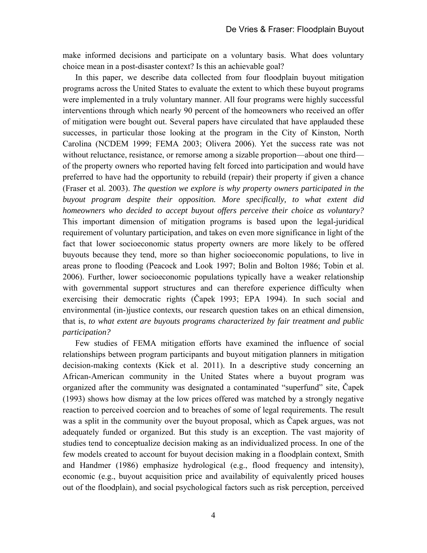make informed decisions and participate on a voluntary basis. What does voluntary choice mean in a post-disaster context? Is this an achievable goal?

In this paper, we describe data collected from four floodplain buyout mitigation programs across the United States to evaluate the extent to which these buyout programs were implemented in a truly voluntary manner. All four programs were highly successful interventions through which nearly 90 percent of the homeowners who received an offer of mitigation were bought out. Several papers have circulated that have applauded these successes, in particular those looking at the program in the City of Kinston, North Carolina (NCDEM 1999; FEMA 2003; Olivera 2006). Yet the success rate was not without reluctance, resistance, or remorse among a sizable proportion—about one third of the property owners who reported having felt forced into participation and would have preferred to have had the opportunity to rebuild (repair) their property if given a chance (Fraser et al. 2003). *The question we explore is why property owners participated in the buyout program despite their opposition. More specifically, to what extent did homeowners who decided to accept buyout offers perceive their choice as voluntary?* This important dimension of mitigation programs is based upon the legal-juridical requirement of voluntary participation, and takes on even more significance in light of the fact that lower socioeconomic status property owners are more likely to be offered buyouts because they tend, more so than higher socioeconomic populations, to live in areas prone to flooding (Peacock and Look 1997; Bolin and Bolton 1986; Tobin et al. 2006). Further, lower socioeconomic populations typically have a weaker relationship with governmental support structures and can therefore experience difficulty when exercising their democratic rights (Čapek 1993; EPA 1994). In such social and environmental (in-)justice contexts, our research question takes on an ethical dimension, that is, *to what extent are buyouts programs characterized by fair treatment and public participation?*

Few studies of FEMA mitigation efforts have examined the influence of social relationships between program participants and buyout mitigation planners in mitigation decision-making contexts (Kick et al. 2011). In a descriptive study concerning an African-American community in the United States where a buyout program was organized after the community was designated a contaminated "superfund" site, Čapek (1993) shows how dismay at the low prices offered was matched by a strongly negative reaction to perceived coercion and to breaches of some of legal requirements. The result was a split in the community over the buyout proposal, which as Čapek argues, was not adequately funded or organized. But this study is an exception. The vast majority of studies tend to conceptualize decision making as an individualized process. In one of the few models created to account for buyout decision making in a floodplain context, Smith and Handmer (1986) emphasize hydrological (e.g., flood frequency and intensity), economic (e.g., buyout acquisition price and availability of equivalently priced houses out of the floodplain), and social psychological factors such as risk perception, perceived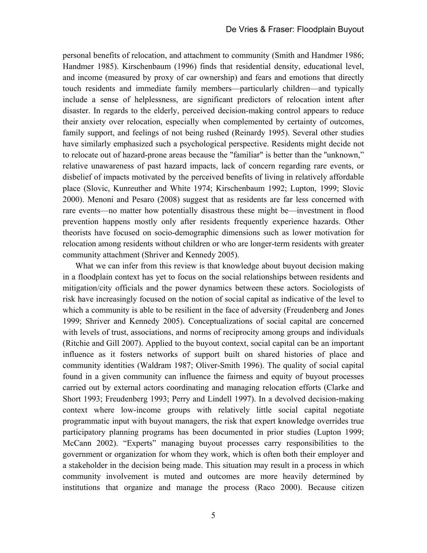personal benefits of relocation, and attachment to community (Smith and Handmer 1986; Handmer 1985). Kirschenbaum (1996) finds that residential density, educational level, and income (measured by proxy of car ownership) and fears and emotions that directly touch residents and immediate family members—particularly children—and typically include a sense of helplessness, are significant predictors of relocation intent after disaster. In regards to the elderly, perceived decision-making control appears to reduce their anxiety over relocation, especially when complemented by certainty of outcomes, family support, and feelings of not being rushed (Reinardy 1995). Several other studies have similarly emphasized such a psychological perspective. Residents might decide not to relocate out of hazard-prone areas because the "familiar" is better than the ''unknown," relative unawareness of past hazard impacts, lack of concern regarding rare events, or disbelief of impacts motivated by the perceived benefits of living in relatively affordable place (Slovic, Kunreuther and White 1974; Kirschenbaum 1992; Lupton, 1999; Slovic 2000). Menoni and Pesaro (2008) suggest that as residents are far less concerned with rare events—no matter how potentially disastrous these might be—investment in flood prevention happens mostly only after residents frequently experience hazards. Other theorists have focused on socio-demographic dimensions such as lower motivation for relocation among residents without children or who are longer-term residents with greater community attachment (Shriver and Kennedy 2005).

What we can infer from this review is that knowledge about buyout decision making in a floodplain context has yet to focus on the social relationships between residents and mitigation/city officials and the power dynamics between these actors. Sociologists of risk have increasingly focused on the notion of social capital as indicative of the level to which a community is able to be resilient in the face of adversity (Freudenberg and Jones 1999; Shriver and Kennedy 2005). Conceptualizations of social capital are concerned with levels of trust, associations, and norms of reciprocity among groups and individuals (Ritchie and Gill 2007). Applied to the buyout context, social capital can be an important influence as it fosters networks of support built on shared histories of place and community identities (Waldram 1987; Oliver-Smith 1996). The quality of social capital found in a given community can influence the fairness and equity of buyout processes carried out by external actors coordinating and managing relocation efforts (Clarke and Short 1993; Freudenberg 1993; Perry and Lindell 1997). In a devolved decision-making context where low-income groups with relatively little social capital negotiate programmatic input with buyout managers, the risk that expert knowledge overrides true participatory planning programs has been documented in prior studies (Lupton 1999; McCann 2002). "Experts" managing buyout processes carry responsibilities to the government or organization for whom they work, which is often both their employer and a stakeholder in the decision being made. This situation may result in a process in which community involvement is muted and outcomes are more heavily determined by institutions that organize and manage the process (Raco 2000). Because citizen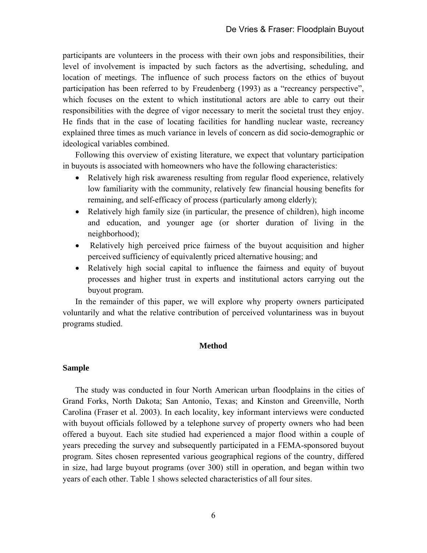participants are volunteers in the process with their own jobs and responsibilities, their level of involvement is impacted by such factors as the advertising, scheduling, and location of meetings. The influence of such process factors on the ethics of buyout participation has been referred to by Freudenberg (1993) as a "recreancy perspective", which focuses on the extent to which institutional actors are able to carry out their responsibilities with the degree of vigor necessary to merit the societal trust they enjoy. He finds that in the case of locating facilities for handling nuclear waste, recreancy explained three times as much variance in levels of concern as did socio-demographic or ideological variables combined.

Following this overview of existing literature, we expect that voluntary participation in buyouts is associated with homeowners who have the following characteristics:

- Relatively high risk awareness resulting from regular flood experience, relatively low familiarity with the community, relatively few financial housing benefits for remaining, and self-efficacy of process (particularly among elderly);
- Relatively high family size (in particular, the presence of children), high income and education, and younger age (or shorter duration of living in the neighborhood);
- Relatively high perceived price fairness of the buyout acquisition and higher perceived sufficiency of equivalently priced alternative housing; and
- Relatively high social capital to influence the fairness and equity of buyout processes and higher trust in experts and institutional actors carrying out the buyout program.

In the remainder of this paper, we will explore why property owners participated voluntarily and what the relative contribution of perceived voluntariness was in buyout programs studied.

## **Method**

#### **Sample**

The study was conducted in four North American urban floodplains in the cities of Grand Forks, North Dakota; San Antonio, Texas; and Kinston and Greenville, North Carolina (Fraser et al. 2003). In each locality, key informant interviews were conducted with buyout officials followed by a telephone survey of property owners who had been offered a buyout. Each site studied had experienced a major flood within a couple of years preceding the survey and subsequently participated in a FEMA-sponsored buyout program. Sites chosen represented various geographical regions of the country, differed in size, had large buyout programs (over 300) still in operation, and began within two years of each other. Table 1 shows selected characteristics of all four sites.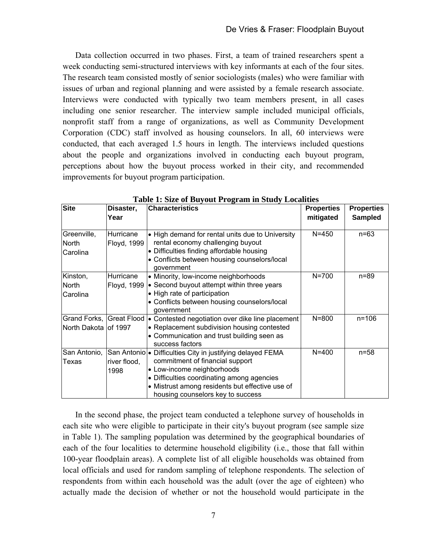Data collection occurred in two phases. First, a team of trained researchers spent a week conducting semi-structured interviews with key informants at each of the four sites. The research team consisted mostly of senior sociologists (males) who were familiar with issues of urban and regional planning and were assisted by a female research associate. Interviews were conducted with typically two team members present, in all cases including one senior researcher. The interview sample included municipal officials, nonprofit staff from a range of organizations, as well as Community Development Corporation (CDC) staff involved as housing counselors. In all, 60 interviews were conducted, that each averaged 1.5 hours in length. The interviews included questions about the people and organizations involved in conducting each buyout program, perceptions about how the buyout process worked in their city, and recommended improvements for buyout program participation.

| <b>Site</b>                                      | Disaster,                | <b>Characteristics</b>                                                                                                                                                                                                                                            | <b>Properties</b> | <b>Properties</b> |
|--------------------------------------------------|--------------------------|-------------------------------------------------------------------------------------------------------------------------------------------------------------------------------------------------------------------------------------------------------------------|-------------------|-------------------|
|                                                  | Year                     |                                                                                                                                                                                                                                                                   | mitigated         | <b>Sampled</b>    |
| Greenville,<br>North<br>Carolina                 | Hurricane<br>Floyd, 1999 | • High demand for rental units due to University<br>rental economy challenging buyout<br>• Difficulties finding affordable housing<br>• Conflicts between housing counselors/local<br>government                                                                  | $N = 450$         | $n = 63$          |
| Kinston,<br>North<br>Carolina                    | Hurricane<br>Floyd, 1999 | • Minority, low-income neighborhoods<br>• Second buyout attempt within three years<br>• High rate of participation<br>• Conflicts between housing counselors/local<br>government                                                                                  | $N = 700$         | $n = 89$          |
| Grand Forks, Great Flood<br>North Dakota of 1997 |                          | Contested negotiation over dike line placement<br>l.<br>• Replacement subdivision housing contested<br>• Communication and trust building seen as<br>success factors                                                                                              | $N = 800$         | $n = 106$         |
| San Antonio,<br>Texas                            | river flood,<br>1998     | San Antonio • Difficulties City in justifying delayed FEMA<br>commitment of financial support<br>• Low-income neighborhoods<br>• Difficulties coordinating among agencies<br>• Mistrust among residents but effective use of<br>housing counselors key to success | $N = 400$         | $n = 58$          |

 **Table 1: Size of Buyout Program in Study Localities** 

In the second phase, the project team conducted a telephone survey of households in each site who were eligible to participate in their city's buyout program (see sample size in Table 1). The sampling population was determined by the geographical boundaries of each of the four localities to determine household eligibility (i.e., those that fall within 100-year floodplain areas). A complete list of all eligible households was obtained from local officials and used for random sampling of telephone respondents. The selection of respondents from within each household was the adult (over the age of eighteen) who actually made the decision of whether or not the household would participate in the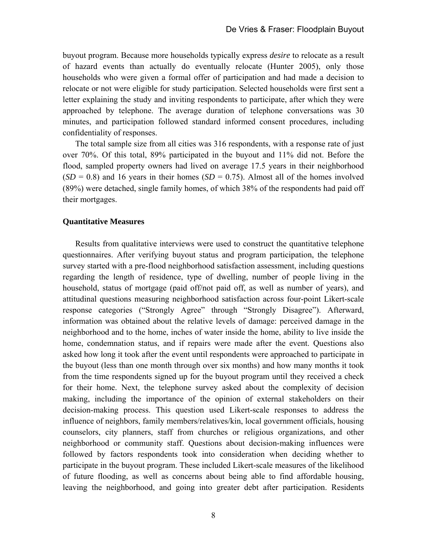buyout program. Because more households typically express *desire* to relocate as a result of hazard events than actually do eventually relocate (Hunter 2005), only those households who were given a formal offer of participation and had made a decision to relocate or not were eligible for study participation. Selected households were first sent a letter explaining the study and inviting respondents to participate, after which they were approached by telephone. The average duration of telephone conversations was 30 minutes, and participation followed standard informed consent procedures, including confidentiality of responses.

The total sample size from all cities was 316 respondents, with a response rate of just over 70%. Of this total, 89% participated in the buyout and 11% did not. Before the flood, sampled property owners had lived on average 17.5 years in their neighborhood  $(SD = 0.8)$  and 16 years in their homes  $(SD = 0.75)$ . Almost all of the homes involved (89%) were detached, single family homes, of which 38% of the respondents had paid off their mortgages.

## **Quantitative Measures**

Results from qualitative interviews were used to construct the quantitative telephone questionnaires. After verifying buyout status and program participation, the telephone survey started with a pre-flood neighborhood satisfaction assessment, including questions regarding the length of residence, type of dwelling, number of people living in the household, status of mortgage (paid off/not paid off, as well as number of years), and attitudinal questions measuring neighborhood satisfaction across four-point Likert-scale response categories ("Strongly Agree" through "Strongly Disagree"). Afterward, information was obtained about the relative levels of damage: perceived damage in the neighborhood and to the home, inches of water inside the home, ability to live inside the home, condemnation status, and if repairs were made after the event. Questions also asked how long it took after the event until respondents were approached to participate in the buyout (less than one month through over six months) and how many months it took from the time respondents signed up for the buyout program until they received a check for their home. Next, the telephone survey asked about the complexity of decision making, including the importance of the opinion of external stakeholders on their decision-making process. This question used Likert-scale responses to address the influence of neighbors, family members/relatives/kin, local government officials, housing counselors, city planners, staff from churches or religious organizations, and other neighborhood or community staff. Questions about decision-making influences were followed by factors respondents took into consideration when deciding whether to participate in the buyout program. These included Likert-scale measures of the likelihood of future flooding, as well as concerns about being able to find affordable housing, leaving the neighborhood, and going into greater debt after participation. Residents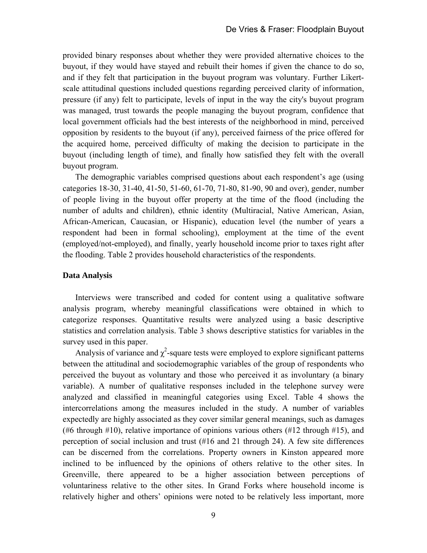provided binary responses about whether they were provided alternative choices to the buyout, if they would have stayed and rebuilt their homes if given the chance to do so, and if they felt that participation in the buyout program was voluntary. Further Likertscale attitudinal questions included questions regarding perceived clarity of information, pressure (if any) felt to participate, levels of input in the way the city's buyout program was managed, trust towards the people managing the buyout program, confidence that local government officials had the best interests of the neighborhood in mind, perceived opposition by residents to the buyout (if any), perceived fairness of the price offered for the acquired home, perceived difficulty of making the decision to participate in the buyout (including length of time), and finally how satisfied they felt with the overall buyout program.

The demographic variables comprised questions about each respondent's age (using categories 18-30, 31-40, 41-50, 51-60, 61-70, 71-80, 81-90, 90 and over), gender, number of people living in the buyout offer property at the time of the flood (including the number of adults and children), ethnic identity (Multiracial, Native American, Asian, African-American, Caucasian, or Hispanic), education level (the number of years a respondent had been in formal schooling), employment at the time of the event (employed/not-employed), and finally, yearly household income prior to taxes right after the flooding. Table 2 provides household characteristics of the respondents.

## **Data Analysis**

Interviews were transcribed and coded for content using a qualitative software analysis program, whereby meaningful classifications were obtained in which to categorize responses. Quantitative results were analyzed using a basic descriptive statistics and correlation analysis. Table 3 shows descriptive statistics for variables in the survey used in this paper.

Analysis of variance and  $\chi^2$ -square tests were employed to explore significant patterns between the attitudinal and sociodemographic variables of the group of respondents who perceived the buyout as voluntary and those who perceived it as involuntary (a binary variable). A number of qualitative responses included in the telephone survey were analyzed and classified in meaningful categories using Excel. Table 4 shows the intercorrelations among the measures included in the study. A number of variables expectedly are highly associated as they cover similar general meanings, such as damages (#6 through #10), relative importance of opinions various others (#12 through #15), and perception of social inclusion and trust (#16 and 21 through 24). A few site differences can be discerned from the correlations. Property owners in Kinston appeared more inclined to be influenced by the opinions of others relative to the other sites. In Greenville, there appeared to be a higher association between perceptions of voluntariness relative to the other sites. In Grand Forks where household income is relatively higher and others' opinions were noted to be relatively less important, more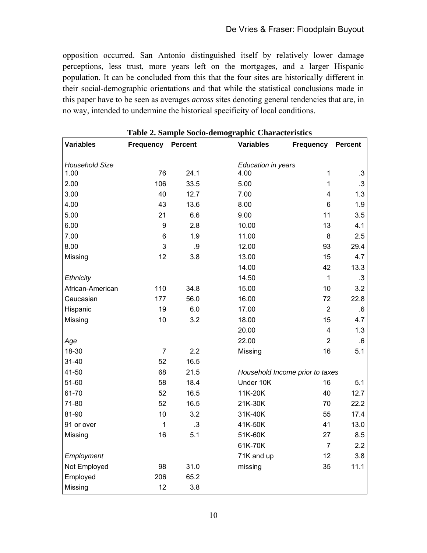opposition occurred. San Antonio distinguished itself by relatively lower damage perceptions, less trust, more years left on the mortgages, and a larger Hispanic population. It can be concluded from this that the four sites are historically different in their social-demographic orientations and that while the statistical conclusions made in this paper have to be seen as averages *across* sites denoting general tendencies that are, in no way, intended to undermine the historical specificity of local conditions.

|                       |                  |                |                    | Table 2. Sample Socio-demographic Characteristics |                |  |  |  |  |  |
|-----------------------|------------------|----------------|--------------------|---------------------------------------------------|----------------|--|--|--|--|--|
| <b>Variables</b>      | <b>Frequency</b> | <b>Percent</b> | <b>Variables</b>   | <b>Frequency</b>                                  | <b>Percent</b> |  |  |  |  |  |
|                       |                  |                |                    |                                                   |                |  |  |  |  |  |
| <b>Household Size</b> |                  |                | Education in years |                                                   |                |  |  |  |  |  |
| 1.00                  | 76               | 24.1           | 4.00               | 1                                                 | .3             |  |  |  |  |  |
| 2.00                  | 106              | 33.5           | 5.00               | $\mathbf{1}$                                      | .3             |  |  |  |  |  |
| 3.00                  | 40               | 12.7           | 7.00               | 4                                                 | 1.3            |  |  |  |  |  |
| 4.00                  | 43               | 13.6           | 8.00               | 6                                                 | 1.9            |  |  |  |  |  |
| 5.00                  | 21               | 6.6            | 9.00               | 11                                                | 3.5            |  |  |  |  |  |
| 6.00                  | 9                | 2.8            | 10.00              | 13                                                | 4.1            |  |  |  |  |  |
| 7.00                  | 6                | 1.9            | 11.00              | 8                                                 | 2.5            |  |  |  |  |  |
| 8.00                  | 3                | .9             | 12.00              | 93                                                | 29.4           |  |  |  |  |  |
| Missing               | 12               | 3.8            | 13.00              | 15                                                | 4.7            |  |  |  |  |  |
|                       |                  |                | 14.00              | 42                                                | 13.3           |  |  |  |  |  |
| Ethnicity             |                  |                | 14.50              | $\mathbf{1}$                                      | .3             |  |  |  |  |  |
| African-American      | 110              | 34.8           | 15.00              | 10                                                | 3.2            |  |  |  |  |  |
| Caucasian             | 177              | 56.0           | 16.00              | 72                                                | 22.8           |  |  |  |  |  |
| Hispanic              | 19               | 6.0            | 17.00              | $\overline{2}$                                    | 6.6            |  |  |  |  |  |
| Missing               | 10               | 3.2            | 18.00              | 15                                                | 4.7            |  |  |  |  |  |
|                       |                  |                | 20.00              | $\overline{4}$                                    | 1.3            |  |  |  |  |  |
| Age                   |                  |                | 22.00              | $\overline{2}$                                    | $.6\,$         |  |  |  |  |  |
| 18-30                 | $\overline{7}$   | 2.2            | Missing            | 16                                                | 5.1            |  |  |  |  |  |
| $31 - 40$             | 52               | 16.5           |                    |                                                   |                |  |  |  |  |  |
| $41 - 50$             | 68               | 21.5           |                    | Household Income prior to taxes                   |                |  |  |  |  |  |
| 51-60                 | 58               | 18.4           | Under 10K          | 16                                                | 5.1            |  |  |  |  |  |
| 61-70                 | 52               | 16.5           | 11K-20K            | 40                                                | 12.7           |  |  |  |  |  |
| 71-80                 | 52               | 16.5           | 21K-30K            | 70                                                | 22.2           |  |  |  |  |  |
| 81-90                 | 10               | 3.2            | 31K-40K            | 55                                                | 17.4           |  |  |  |  |  |
| 91 or over            | $\mathbf{1}$     | $\cdot$ 3      | 41K-50K            | 41                                                | 13.0           |  |  |  |  |  |
| Missing               | 16               | 5.1            | 51K-60K            | 27                                                | 8.5            |  |  |  |  |  |
|                       |                  |                | 61K-70K            | $\overline{7}$                                    | 2.2            |  |  |  |  |  |
| Employment            |                  |                | 71K and up         | 12                                                | 3.8            |  |  |  |  |  |
| Not Employed          | 98               | 31.0           | missing            | 35                                                | 11.1           |  |  |  |  |  |
| Employed              | 206              | 65.2           |                    |                                                   |                |  |  |  |  |  |
| Missing               | 12               | 3.8            |                    |                                                   |                |  |  |  |  |  |

**Table 2. Sample Socio-demographic Characteristics**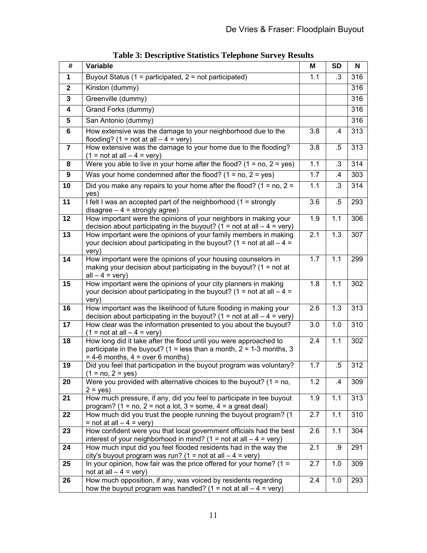| $\overline{\mathbf{t}}$ | Variable                                                                                                                                     | M                | <b>SD</b>     | N   |
|-------------------------|----------------------------------------------------------------------------------------------------------------------------------------------|------------------|---------------|-----|
| $\mathbf 1$             | Buyout Status (1 = participated, 2 = not participated)                                                                                       | 1.1              | .3            | 316 |
| $\mathbf{2}$            | Kinston (dummy)                                                                                                                              |                  |               | 316 |
| $\mathbf 3$             | Greenville (dummy)                                                                                                                           |                  |               | 316 |
| 4                       | Grand Forks (dummy)                                                                                                                          |                  |               | 316 |
| 5                       | San Antonio (dummy)                                                                                                                          |                  |               | 316 |
| 6                       | How extensive was the damage to your neighborhood due to the                                                                                 | 3.8              | $\mathcal{A}$ | 313 |
|                         | flooding? (1 = not at all $-4$ = very)                                                                                                       |                  |               |     |
| $\overline{\mathbf{r}}$ | How extensive was the damage to your home due to the flooding?                                                                               | 3.8              | $.5\,$        | 313 |
| 8                       | $(1 = not at all - 4 = very)$<br>Were you able to live in your home after the flood? $(1 = no, 2 = yes)$                                     | 1.1              | $\cdot$ 3     | 314 |
| 9                       | Was your home condemned after the flood? $(1 = no, 2 = yes)$                                                                                 | 1.7              | $\cdot$       | 303 |
| 10                      | Did you make any repairs to your home after the flood? $(1 = no, 2 =$                                                                        | 1.1              | .3            | 314 |
|                         | yes)                                                                                                                                         |                  |               |     |
| 11                      | I felt I was an accepted part of the neighborhood $(1 =$ strongly                                                                            | 3.6              | $.5\,$        | 293 |
|                         | disagree $-4$ = strongly agree)                                                                                                              |                  |               |     |
| 12                      | How important were the opinions of your neighbors in making your<br>decision about participating in the buyout? (1 = not at all $-4$ = very) | 1.9              | 1.1           | 306 |
| 13                      | How important were the opinions of your family members in making                                                                             | $\overline{2.1}$ | 1.3           | 307 |
|                         | your decision about participating in the buyout? (1 = not at all $-4 =$                                                                      |                  |               |     |
|                         | very)                                                                                                                                        |                  |               |     |
| 14                      | How important were the opinions of your housing counselors in<br>making your decision about participating in the buyout? ( $1 = not$ at      | 1.7              | 1.1           | 299 |
|                         | $all - 4 = very)$                                                                                                                            |                  |               |     |
| 15                      | How important were the opinions of your city planners in making                                                                              | 1.8              | 1.1           | 302 |
|                         | your decision about participating in the buyout? (1 = not at all $-4 =$<br>very)                                                             |                  |               |     |
| 16                      | How important was the likelihood of future flooding in making your                                                                           | 2.6              | 1.3           | 313 |
|                         | decision about participating in the buyout? (1 = not at all $-4$ = very)                                                                     |                  |               |     |
| 17                      | How clear was the information presented to you about the buyout?                                                                             | 3.0              | 1.0           | 310 |
| 18                      | $(1 = not at all - 4 = very)$<br>How long did it take after the flood until you were approached to                                           | 2.4              | 1.1           | 302 |
|                         | participate in the buyout? (1 = less than a month, $2 = 1-3$ months, 3                                                                       |                  |               |     |
|                         | $= 4-6$ months, $4 =$ over 6 months)                                                                                                         |                  |               |     |
| 19                      | Did you feel that participation in the buyout program was voluntary?                                                                         | 1.7              | $.5\,$        | 312 |
| 20                      | $(1 = no, 2 = yes)$<br>Were you provided with alternative choices to the buyout? $(1 = no,$                                                  | 1.2              | .4            | 309 |
|                         | $2 = yes$                                                                                                                                    |                  |               |     |
| 21                      | How much pressure, if any, did you feel to participate in tee buyout                                                                         | 1.9              | 1.1           | 313 |
|                         | program? (1 = no, 2 = not a lot, 3 = some, 4 = a great deal)                                                                                 |                  |               |     |
| 22                      | How much did you trust the people running the buyout program? (1<br>$=$ not at all $-4$ = very)                                              | 2.7              | 1.1           | 310 |
| 23                      | How confident were you that local government officials had the best                                                                          | 2.6              | 1.1           | 304 |
|                         | interest of your neighborhood in mind? ( $1 = not$ at all $-4 = very$ )                                                                      |                  |               |     |
| 24                      | How much input did you feel flooded residents had in the way the                                                                             | 2.1              | .9            | 291 |
| 25                      | city's buyout program was run? (1 = not at all $-4$ = very)<br>In your opinion, how fair was the price offered for your home? $(1 =$         | 2.7              | 1.0           | 309 |
|                         | not at all $-4$ = very)                                                                                                                      |                  |               |     |
| 26                      | How much opposition, if any, was voiced by residents regarding                                                                               | 2.4              | 1.0           | 293 |
|                         | how the buyout program was handled? (1 = not at all $-4$ = very)                                                                             |                  |               |     |

**Table 3: Descriptive Statistics Telephone Survey Results**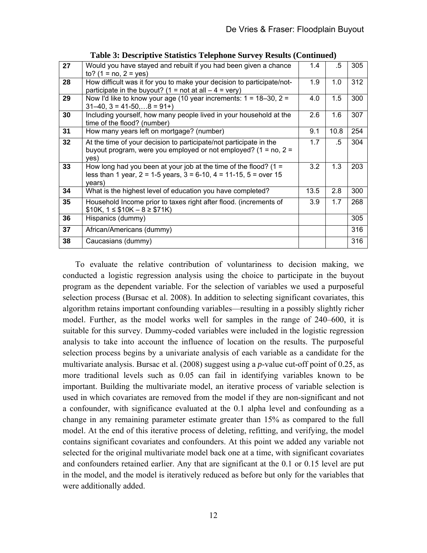| 27 | Would you have stayed and rebuilt if you had been given a chance<br>to? $(1 = no, 2 = yes)$                                                                 | 1.4  | .5   | 305 |
|----|-------------------------------------------------------------------------------------------------------------------------------------------------------------|------|------|-----|
| 28 | How difficult was it for you to make your decision to participate/not-<br>participate in the buyout? (1 = not at all $-4$ = very)                           | 1.9  | 1.0  | 312 |
| 29 | Now I'd like to know your age (10 year increments: $1 = 18-30$ , $2 = 12$<br>$31-40$ , $3 = 41-50$ , $8 = 91+$ )                                            | 4.0  | 1.5  | 300 |
| 30 | Including yourself, how many people lived in your household at the<br>time of the flood? (number)                                                           | 2.6  | 1.6  | 307 |
| 31 | How many years left on mortgage? (number)                                                                                                                   | 9.1  | 10.8 | 254 |
| 32 | At the time of your decision to participate/not participate in the<br>buyout program, were you employed or not employed? $(1 = no, 2 =$<br>yes)             | 1.7  | .5   | 304 |
| 33 | How long had you been at your job at the time of the flood? $(1 =$<br>less than 1 year, $2 = 1-5$ years, $3 = 6-10$ , $4 = 11-15$ , $5 =$ over 15<br>years) | 3.2  | 1.3  | 203 |
| 34 | What is the highest level of education you have completed?                                                                                                  | 13.5 | 2.8  | 300 |
| 35 | Household Income prior to taxes right after flood. (increments of<br>$$10K, 1 \le $10K - 8 \ge $71K)$                                                       | 3.9  | 1.7  | 268 |
| 36 | Hispanics (dummy)                                                                                                                                           |      |      | 305 |
| 37 | African/Americans (dummy)                                                                                                                                   |      |      | 316 |
| 38 | Caucasians (dummy)                                                                                                                                          |      |      | 316 |

**Table 3: Descriptive Statistics Telephone Survey Results (Continued)** 

To evaluate the relative contribution of voluntariness to decision making, we conducted a logistic regression analysis using the choice to participate in the buyout program as the dependent variable. For the selection of variables we used a purposeful selection process (Bursac et al. 2008). In addition to selecting significant covariates, this algorithm retains important confounding variables—resulting in a possibly slightly richer model. Further, as the model works well for samples in the range of 240–600, it is suitable for this survey. Dummy-coded variables were included in the logistic regression analysis to take into account the influence of location on the results. The purposeful selection process begins by a univariate analysis of each variable as a candidate for the multivariate analysis. Bursac et al. (2008) suggest using a *p*-value cut-off point of 0.25, as more traditional levels such as 0.05 can fail in identifying variables known to be important. Building the multivariate model, an iterative process of variable selection is used in which covariates are removed from the model if they are non-significant and not a confounder, with significance evaluated at the 0.1 alpha level and confounding as a change in any remaining parameter estimate greater than 15% as compared to the full model. At the end of this iterative process of deleting, refitting, and verifying, the model contains significant covariates and confounders. At this point we added any variable not selected for the original multivariate model back one at a time, with significant covariates and confounders retained earlier. Any that are significant at the 0.1 or 0.15 level are put in the model, and the model is iteratively reduced as before but only for the variables that were additionally added.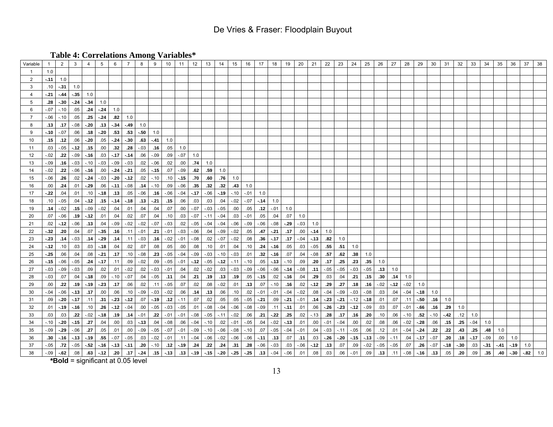**Table 4: Correlations Among Variables\*** 

| Variable       |         | $\overline{2}$ | $\mathbf{3}$ | 4                   | 5            | 6                | 7      | 8       | 9             | 10     | 11     | 12                  | 13      | 14           | 15      | 16      | 17          | 18                      | 19                | 20      | 21      | 22     | 23                 | 24     | 25     | 26     | 27     | 28          | 29     | 30     | 31    | 32     | 33     | 34     | 35   | 36     | 37     | 38  |
|----------------|---------|----------------|--------------|---------------------|--------------|------------------|--------|---------|---------------|--------|--------|---------------------|---------|--------------|---------|---------|-------------|-------------------------|-------------------|---------|---------|--------|--------------------|--------|--------|--------|--------|-------------|--------|--------|-------|--------|--------|--------|------|--------|--------|-----|
|                | 1.0     |                |              |                     |              |                  |        |         |               |        |        |                     |         |              |         |         |             |                         |                   |         |         |        |                    |        |        |        |        |             |        |        |       |        |        |        |      |        |        |     |
| 2              | $-11$   | 1.0            |              |                     |              |                  |        |         |               |        |        |                     |         |              |         |         |             |                         |                   |         |         |        |                    |        |        |        |        |             |        |        |       |        |        |        |      |        |        |     |
| 3              | .10     | $-.31$         | 1.0          |                     |              |                  |        |         |               |        |        |                     |         |              |         |         |             |                         |                   |         |         |        |                    |        |        |        |        |             |        |        |       |        |        |        |      |        |        |     |
| $\overline{4}$ | -.21    | $-.44$         | $-.35$       | 1.0                 |              |                  |        |         |               |        |        |                     |         |              |         |         |             |                         |                   |         |         |        |                    |        |        |        |        |             |        |        |       |        |        |        |      |        |        |     |
| 5              | .28     | $-30$          | $-24$        | $-34$               | 1.0          |                  |        |         |               |        |        |                     |         |              |         |         |             |                         |                   |         |         |        |                    |        |        |        |        |             |        |        |       |        |        |        |      |        |        |     |
| 6              | $-.07$  | $-.10$         | .05          | .24                 | $-.24$       | 1.0              |        |         |               |        |        |                     |         |              |         |         |             |                         |                   |         |         |        |                    |        |        |        |        |             |        |        |       |        |        |        |      |        |        |     |
| $\overline{7}$ | $-.06$  | $-.10$         | .05          | .25                 | $-24$        | .82              | 1.0    |         |               |        |        |                     |         |              |         |         |             |                         |                   |         |         |        |                    |        |        |        |        |             |        |        |       |        |        |        |      |        |        |     |
| 8              | .13     | .17            | $-.08$       | $-20$               | $-.13$       | $-34$            | $-49$  | 1.0     |               |        |        |                     |         |              |         |         |             |                         |                   |         |         |        |                    |        |        |        |        |             |        |        |       |        |        |        |      |        |        |     |
| 9              | $-10$   | $-.07$         | .06          | .18                 | $-.20$       | .53              | .53    |         | $-50$ 1.0     |        |        |                     |         |              |         |         |             |                         |                   |         |         |        |                    |        |        |        |        |             |        |        |       |        |        |        |      |        |        |     |
| 10             | .15     | .12            | .06          | $-.20$              | .05          | $-24$            | $-30$  | .63     | $-.41$        | 1.0    |        |                     |         |              |         |         |             |                         |                   |         |         |        |                    |        |        |        |        |             |        |        |       |        |        |        |      |        |        |     |
| 11             | .03     | $-.05$         | $-12$        | .15                 | $.00\,$      | .32              | .28    | $-.03$  | .16           | .05    | 1.0    |                     |         |              |         |         |             |                         |                   |         |         |        |                    |        |        |        |        |             |        |        |       |        |        |        |      |        |        |     |
| 12             | $-0.02$ | .22            | $-.09$       | $-.16$              | .03          | $-17$            | $-14$  | .06     | $-.09$        | .09    | $-.07$ | 1.0                 |         |              |         |         |             |                         |                   |         |         |        |                    |        |        |        |        |             |        |        |       |        |        |        |      |        |        |     |
| 13             | $-.09$  | .16            | $-.03$       | $-.10$              | $-.03$       | $-.09$           | $-.03$ | .02     | $-.06$        | .02    | .00    | .74                 | 1.0     |              |         |         |             |                         |                   |         |         |        |                    |        |        |        |        |             |        |        |       |        |        |        |      |        |        |     |
| 14             | $-.02$  | .22            | $-0.06$      | $-.16$              | .00          | $-24$            | $-.21$ | .05     | $-.15$        | .07    | $-.09$ | .62                 | .59     | 1.0          |         |         |             |                         |                   |         |         |        |                    |        |        |        |        |             |        |        |       |        |        |        |      |        |        |     |
| 15             | $-06$   | .26            | .02          | $-24$               | $-.03$       | $-.20$           | $-12$  | .02     | $-.10$        | .10    | $-.15$ | .70                 | .60     | .76          | 1.0     |         |             |                         |                   |         |         |        |                    |        |        |        |        |             |        |        |       |        |        |        |      |        |        |     |
| 16             | .00     | .24            | .01          | $-29$               | .06          | $-11$            | $-.08$ | .14     | $-.10$        | .09    | $-.06$ | .35                 | .32     | .32          | .43     | 1.0     |             |                         |                   |         |         |        |                    |        |        |        |        |             |        |        |       |        |        |        |      |        |        |     |
| 17             | $-22$   | .04            | .01          | .10                 | $-.18$       | .13              | .05    | $-.06$  | .16           | $-.06$ | $-.04$ | $-17$               | $-0.06$ | $-.19$       | $-.10$  | $-.01$  | 1.0         |                         |                   |         |         |        |                    |        |        |        |        |             |        |        |       |        |        |        |      |        |        |     |
| 18             | .10     | $-.05$         | .04          | $-.12$              | .15          | $-.14$           | $-18$  |         | $.13 - .21$   | .15    | .06    | .03                 | .03     | .04          | $-.02$  | $-.07$  |             | $-14$ 1.0               |                   |         |         |        |                    |        |        |        |        |             |        |        |       |        |        |        |      |        |        |     |
| 19             | .14     | $-.02$         | .15          | $-.09$              | $-.02$       | .04              | .01    | .04     | .04           | .07    | .00    | $-.07$              | $-.03$  | $-.05$       | .00     | .05     |             |                         | $.12 - .01 - 1.0$ |         |         |        |                    |        |        |        |        |             |        |        |       |        |        |        |      |        |        |     |
| 20             | .07     | $-0.06$        |              | $.19$ $-.12$        | .01          | .04              | .02    | .07     | .04           | .10    | .03    | $-.07$              |         | $-.11-.04$   | .03     | $-.01$  | .05         | .04                     | .07               | 1.0     |         |        |                    |        |        |        |        |             |        |        |       |        |        |        |      |        |        |     |
| 21             | .02     | $-12$          | $-.06$       | .13                 | .04          | $-.09$           | $-.02$ | $-.02$  | $-.07$        | $-.03$ | .02    | $-.05$              |         | $-.04 - .04$ | $-.06$  | $-.09$  | $-0.06$     | $-.08$                  | $-29$             | $-.03$  | 1.0     |        |                    |        |        |        |        |             |        |        |       |        |        |        |      |        |        |     |
| 22             | $-32$   | .20            | .04          | .07                 | $-.35$       | .16              | .11    | $-.01$  | .21           | $-.01$ | $-.03$ | $-.06$              | .04     | $-.09$       | $-.02$  | .05     | .47         | $-21$                   | .17               | $.00\,$ | $-14$   | 1.0    |                    |        |        |        |        |             |        |        |       |        |        |        |      |        |        |     |
| 23             | $-23$   | .14            | $-.03$       |                     | $.14 - .29$  | .14              | .11    | $-.03$  | .16           | $-.02$ | $-.01$ | $-.08$              | .02     | $-.07$       | $-.02$  | .08     | .36         | $-17$                   | .17               | $-.04$  | $-13$   |        | $.82 \qquad 1.0$   |        |        |        |        |             |        |        |       |        |        |        |      |        |        |     |
| 24             | $-12$   | .10            | .03          | .03                 | $-.18$       | .04              | .02    | .07     | .08           | .05    | .00    | .08                 | .10     | .01          | .04     | .10     | .24         | $-.16$                  | .05               | .03     | $-.05$  | .55    | .51                | 1.0    |        |        |        |             |        |        |       |        |        |        |      |        |        |     |
| 25             | $-25$   | .06            | .04          | .08                 | $-.21$       | .17              | .10    | $-.08$  | .23           | $-.05$ | $-.04$ | $-.09$              | $-.03$  | $-.10$       | $-.03$  | .01     | .32         | $-16$                   | .07               | .04     | $-0.08$ | .57    | .62                | .38    | 1.0    |        |        |             |        |        |       |        |        |        |      |        |        |     |
| 26             | $-15$   | $-0.06$        | $-.05$       | .24                 | $-.17$       | .11              | .09    | $-.02$  | .09           | $-.05$ | $-.01$ | $-12$               | $-.05$  | $-.12$       | $-.11$  | $-.10$  | .05         | $-.13$                  | $-.10$            | .09     | .20     | .17    | .25                | .23    | .35    | 1.0    |        |             |        |        |       |        |        |        |      |        |        |     |
| 27             | $-03$   | $-.09$         | $-0.03$      | .09                 | $.02\,$      | .01              | $-.02$ | $.02\,$ | $-.03$        | $-.01$ | .04    | .02                 | $-.02$  | .03          | $-.03$  | $-.09$  | $-.06$      | $-.06$                  | $-14$             | $-0.08$ | .11     | $-.05$ | $-.05$             | $-.03$ | $-.05$ | .13    | 1.0    |             |        |        |       |        |        |        |      |        |        |     |
| 28             | $-.03$  | .07            | .04          | $-.18$              | .09          | $-0.10$          | $-.07$ | .04     | $-.05$        | .11    | .04    | .21                 |         | $.19$ .13    | .19     | .05     | $-15$       |                         | $.02 - .16$       | .04     | .29     | .03    | .04                | .21    | .15    | .30    | .14    | 1.0         |        |        |       |        |        |        |      |        |        |     |
| 29             | .00     | .22            |              | $.19$ $-.19$ $-.23$ |              | .17              | .06    | .02     | .11           | $-.05$ | .07    | .02                 |         | $.08 - .02$  | .01     | .13     |             |                         | $.07 - .10$ .16   | .02     | $-12$   | .29    | .27                | .18    | .16    | $-.02$ | $-.12$ | $-.02$      | 1.0    |        |       |        |        |        |      |        |        |     |
| 30             | $-0.04$ | $-0.06$        | $-.13$       | .17                 | .00.         | .06              | .10    |         | $-.09-.03$    | $-.02$ | .06    | .14                 |         | $.13-.06$    | .10     | .02     | $-.01$      |                         | $-01 - 04$        | $-.02$  | .08     | $-.04$ | $-.09$             | $-.03$ | $-.08$ | .03    | .04    | $-.04$      | $-.18$ | 1.0    |       |        |        |        |      |        |        |     |
| 31             | .09     | $-20$          | $-17$        | .11                 | .31          | $-23$            | $-12$  |         | $.07 - 19$    | .12    | $-.11$ | .07                 | .02     | .05          | .05     |         | $-.05$ -.21 |                         | $.09 - .21$       | $-.01$  | .14     |        | $-23 - 21$         | $-.12$ | $-18$  | .01    | .07    | .11         | $-.50$ | .16    | 1.0   |        |        |        |      |        |        |     |
| 32             | .01     | $-19$          | $-16$        | .10                 | .26          | $-12$            | $-.04$ | $.00\,$ | $-.05$        | $-.03$ | $-.05$ | .01                 | $-.08$  | $-.04$       | $-0.06$ | $-.08$  | $-.09$      | .11                     | $-11$             | .01     | .06     | $-26$  | $-23$              | $-12$  | $-.09$ | .03    | .07    | $-.01$      | $-66$  | .16    | .29   | 1.0    |        |        |      |        |        |     |
| 33             | .03     | .03            | .22          | $-.02$              | $-.18$       | .19              | .14    | $-.01$  | .22           | $-.01$ | $-.01$ | $-.08$              | $-.05$  | $-.11$       | $-.02$  | .06     | .21         | $\mathord{\text{-}}.22$ | .25               | .02     | $-.13$  | .28    | .17                | .16    | .20    | .10    | .06    | $-.10$      | .52    | -.10   | -.42  | .12    | 1.0    |        |      |        |        |     |
| 34             | $-.10$  | $-.20$         | $-15$        | .27                 | .04          | .00.             | .03    | $-.13$  | $.04$         | $-.08$ | .06    | $-0.04$             | $-.10$  | .02          | $-.01$  | $-.05$  | .04         | $-.02$                  | $-13$             | .01     | .00.    | $-.01$ | $-.04$             | .00    | .02    | .08    | .06    | $-.02$      | $-.28$ | .06    | .15   | .25    | $-.04$ | 1.0    |      |        |        |     |
| 35             | $-0.09$ | $-29$          | $-0.06$      | .27                 | .05          | .01              | .00    | $-.09$  | $-.05$        | $-.07$ | $-.01$ | $-.09$              | $-.10$  | $-.06$       | $-.08$  | $-0.10$ | .07         | $-.05$                  | $-.04$            | $-.01$  | .04     | $-.03$ | $-.11$             | $-.05$ | .06    | .12    | .01    | $-.04$      | $-.24$ | .22    | .22   | .43    | .25    | .48    | 1.0  |        |        |     |
| 36             | .30     | $-16$          | $-13$        | $-.19$              | .55          | $-.07$           | $-.05$ | .03     | $-.02$        | $-.01$ | .11    | $-.04$              | $-.06$  | $-.02$       | $-0.06$ | $-.06$  | $-11$       | .13                     | .07               | .11     | .03     | $-.26$ | $-20$              | $-.15$ | $-13$  | $-.09$ | $-.11$ | .04         | $-17$  | $-.07$ | .20   | .18    | $-17$  | $-.09$ | .00. | 1.0    |        |     |
| 37             | $-.05$  | .72            | $-.05$       | $-52$               | $-16$        | $-13$            | $-11$  | .20     | $-.10$        | .12    | $-19$  | .24                 | .22     | .24          | .31     | .28     | $-0.06$     | $-.03$                  | .03               | $-0.06$ | $-12$   | .13    | .07                | .09    | $-.02$ | $-.05$ | $-.05$ | .07         | .26    | $-.07$ | $-18$ | $-.30$ | .03    | $-31$  | -.41 | $-.19$ | 1.0    |     |
| 38             | $-.09$  | $-62$          | .08          |                     | $.63$ $-.12$ | .20 <sub>1</sub> | .17    |         | $-24$ .15 .13 |        |        | .13 .19 .15 .20 .25 |         |              |         | $-25$   |             |                         | $.13 - .04 - .06$ | .01     | .08     |        | $.03$ $.06$ $-.01$ |        | .09    | .13    |        | $.11 - .08$ | $-.16$ | .13    | .05   | .20    | .09    | .35    | .40  | $-30$  | $-.82$ | 1.0 |

**\*Bold** = significant at 0.05 level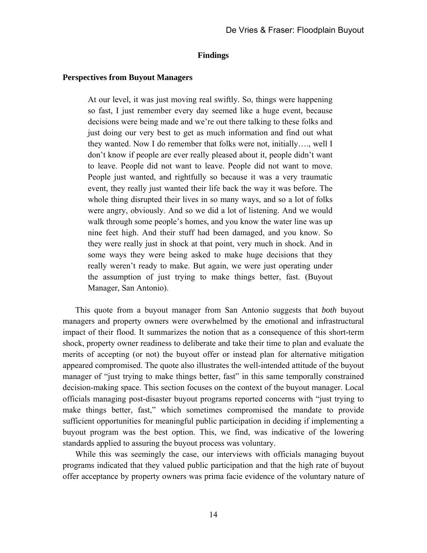#### **Findings**

#### **Perspectives from Buyout Managers**

At our level, it was just moving real swiftly. So, things were happening so fast, I just remember every day seemed like a huge event, because decisions were being made and we're out there talking to these folks and just doing our very best to get as much information and find out what they wanted. Now I do remember that folks were not, initially…., well I don't know if people are ever really pleased about it, people didn't want to leave. People did not want to leave. People did not want to move. People just wanted, and rightfully so because it was a very traumatic event, they really just wanted their life back the way it was before. The whole thing disrupted their lives in so many ways, and so a lot of folks were angry, obviously. And so we did a lot of listening. And we would walk through some people's homes, and you know the water line was up nine feet high. And their stuff had been damaged, and you know. So they were really just in shock at that point, very much in shock. And in some ways they were being asked to make huge decisions that they really weren't ready to make. But again, we were just operating under the assumption of just trying to make things better, fast. (Buyout Manager, San Antonio).

This quote from a buyout manager from San Antonio suggests that *both* buyout managers and property owners were overwhelmed by the emotional and infrastructural impact of their flood. It summarizes the notion that as a consequence of this short-term shock, property owner readiness to deliberate and take their time to plan and evaluate the merits of accepting (or not) the buyout offer or instead plan for alternative mitigation appeared compromised. The quote also illustrates the well-intended attitude of the buyout manager of "just trying to make things better, fast" in this same temporally constrained decision-making space. This section focuses on the context of the buyout manager. Local officials managing post-disaster buyout programs reported concerns with "just trying to make things better, fast," which sometimes compromised the mandate to provide sufficient opportunities for meaningful public participation in deciding if implementing a buyout program was the best option. This, we find, was indicative of the lowering standards applied to assuring the buyout process was voluntary.

While this was seemingly the case, our interviews with officials managing buyout programs indicated that they valued public participation and that the high rate of buyout offer acceptance by property owners was prima facie evidence of the voluntary nature of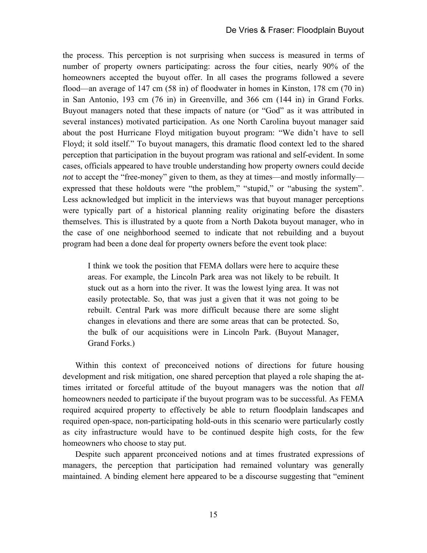the process. This perception is not surprising when success is measured in terms of number of property owners participating: across the four cities, nearly 90% of the homeowners accepted the buyout offer. In all cases the programs followed a severe flood—an average of 147 cm (58 in) of floodwater in homes in Kinston, 178 cm (70 in) in San Antonio, 193 cm (76 in) in Greenville, and 366 cm (144 in) in Grand Forks. Buyout managers noted that these impacts of nature (or "God" as it was attributed in several instances) motivated participation. As one North Carolina buyout manager said about the post Hurricane Floyd mitigation buyout program: "We didn't have to sell Floyd; it sold itself." To buyout managers, this dramatic flood context led to the shared perception that participation in the buyout program was rational and self-evident. In some cases, officials appeared to have trouble understanding how property owners could decide *not* to accept the "free-money" given to them, as they at times—and mostly informally expressed that these holdouts were "the problem," "stupid," or "abusing the system". Less acknowledged but implicit in the interviews was that buyout manager perceptions were typically part of a historical planning reality originating before the disasters themselves. This is illustrated by a quote from a North Dakota buyout manager, who in the case of one neighborhood seemed to indicate that not rebuilding and a buyout program had been a done deal for property owners before the event took place:

I think we took the position that FEMA dollars were here to acquire these areas. For example, the Lincoln Park area was not likely to be rebuilt. It stuck out as a horn into the river. It was the lowest lying area. It was not easily protectable. So, that was just a given that it was not going to be rebuilt. Central Park was more difficult because there are some slight changes in elevations and there are some areas that can be protected. So, the bulk of our acquisitions were in Lincoln Park. (Buyout Manager, Grand Forks.)

Within this context of preconceived notions of directions for future housing development and risk mitigation, one shared perception that played a role shaping the attimes irritated or forceful attitude of the buyout managers was the notion that *all* homeowners needed to participate if the buyout program was to be successful. As FEMA required acquired property to effectively be able to return floodplain landscapes and required open-space, non-participating hold-outs in this scenario were particularly costly as city infrastructure would have to be continued despite high costs, for the few homeowners who choose to stay put.

Despite such apparent prconceived notions and at times frustrated expressions of managers, the perception that participation had remained voluntary was generally maintained. A binding element here appeared to be a discourse suggesting that "eminent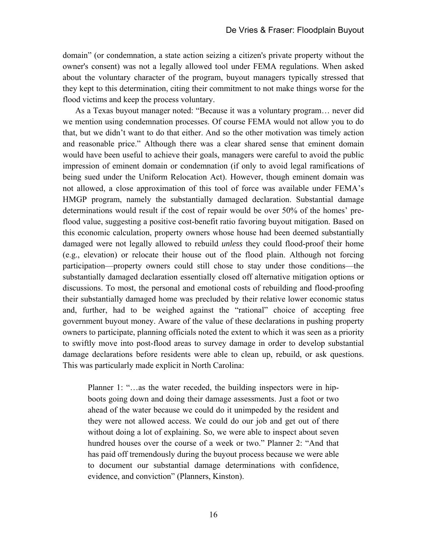domain" (or condemnation, a state action seizing a citizen's private property without the owner's consent) was not a legally allowed tool under FEMA regulations. When asked about the voluntary character of the program, buyout managers typically stressed that they kept to this determination, citing their commitment to not make things worse for the flood victims and keep the process voluntary.

As a Texas buyout manager noted: "Because it was a voluntary program… never did we mention using condemnation processes. Of course FEMA would not allow you to do that, but we didn't want to do that either. And so the other motivation was timely action and reasonable price." Although there was a clear shared sense that eminent domain would have been useful to achieve their goals, managers were careful to avoid the public impression of eminent domain or condemnation (if only to avoid legal ramifications of being sued under the Uniform Relocation Act). However, though eminent domain was not allowed, a close approximation of this tool of force was available under FEMA's HMGP program, namely the substantially damaged declaration. Substantial damage determinations would result if the cost of repair would be over 50% of the homes' preflood value, suggesting a positive cost-benefit ratio favoring buyout mitigation. Based on this economic calculation, property owners whose house had been deemed substantially damaged were not legally allowed to rebuild *unless* they could flood-proof their home (e.g., elevation) or relocate their house out of the flood plain. Although not forcing participation—property owners could still chose to stay under those conditions—the substantially damaged declaration essentially closed off alternative mitigation options or discussions. To most, the personal and emotional costs of rebuilding and flood-proofing their substantially damaged home was precluded by their relative lower economic status and, further, had to be weighed against the "rational" choice of accepting free government buyout money. Aware of the value of these declarations in pushing property owners to participate, planning officials noted the extent to which it was seen as a priority to swiftly move into post-flood areas to survey damage in order to develop substantial damage declarations before residents were able to clean up, rebuild, or ask questions. This was particularly made explicit in North Carolina:

Planner 1: "…as the water receded, the building inspectors were in hipboots going down and doing their damage assessments. Just a foot or two ahead of the water because we could do it unimpeded by the resident and they were not allowed access. We could do our job and get out of there without doing a lot of explaining. So, we were able to inspect about seven hundred houses over the course of a week or two." Planner 2: "And that has paid off tremendously during the buyout process because we were able to document our substantial damage determinations with confidence, evidence, and conviction" (Planners, Kinston).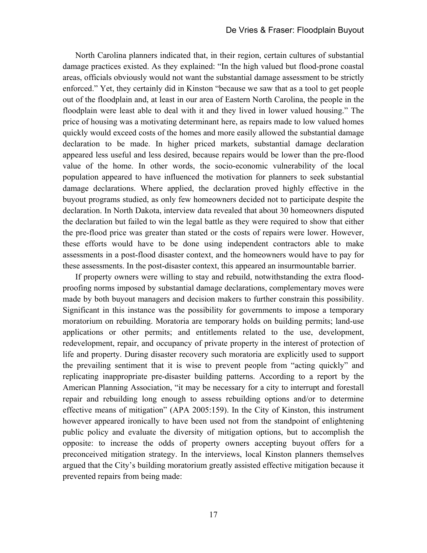North Carolina planners indicated that, in their region, certain cultures of substantial damage practices existed. As they explained: "In the high valued but flood-prone coastal areas, officials obviously would not want the substantial damage assessment to be strictly enforced." Yet, they certainly did in Kinston "because we saw that as a tool to get people out of the floodplain and, at least in our area of Eastern North Carolina, the people in the floodplain were least able to deal with it and they lived in lower valued housing." The price of housing was a motivating determinant here, as repairs made to low valued homes quickly would exceed costs of the homes and more easily allowed the substantial damage declaration to be made. In higher priced markets, substantial damage declaration appeared less useful and less desired, because repairs would be lower than the pre-flood value of the home. In other words, the socio-economic vulnerability of the local population appeared to have influenced the motivation for planners to seek substantial damage declarations. Where applied, the declaration proved highly effective in the buyout programs studied, as only few homeowners decided not to participate despite the declaration. In North Dakota, interview data revealed that about 30 homeowners disputed the declaration but failed to win the legal battle as they were required to show that either the pre-flood price was greater than stated or the costs of repairs were lower. However, these efforts would have to be done using independent contractors able to make assessments in a post-flood disaster context, and the homeowners would have to pay for these assessments. In the post-disaster context, this appeared an insurmountable barrier.

If property owners were willing to stay and rebuild, notwithstanding the extra floodproofing norms imposed by substantial damage declarations, complementary moves were made by both buyout managers and decision makers to further constrain this possibility. Significant in this instance was the possibility for governments to impose a temporary moratorium on rebuilding. Moratoria are temporary holds on building permits; land-use applications or other permits; and entitlements related to the use, development, redevelopment, repair, and occupancy of private property in the interest of protection of life and property. During disaster recovery such moratoria are explicitly used to support the prevailing sentiment that it is wise to prevent people from "acting quickly" and replicating inappropriate pre-disaster building patterns. According to a report by the American Planning Association, "it may be necessary for a city to interrupt and forestall repair and rebuilding long enough to assess rebuilding options and/or to determine effective means of mitigation" (APA 2005:159). In the City of Kinston, this instrument however appeared ironically to have been used not from the standpoint of enlightening public policy and evaluate the diversity of mitigation options, but to accomplish the opposite: to increase the odds of property owners accepting buyout offers for a preconceived mitigation strategy. In the interviews, local Kinston planners themselves argued that the City's building moratorium greatly assisted effective mitigation because it prevented repairs from being made: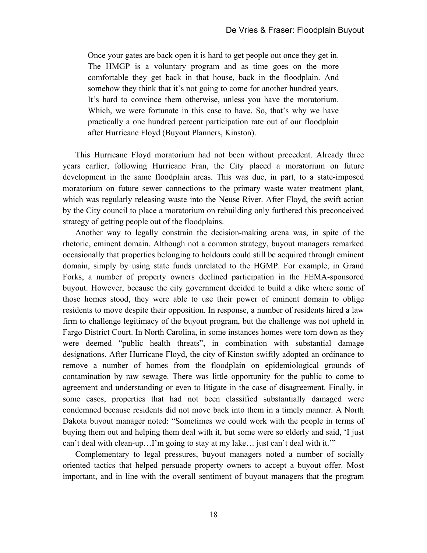Once your gates are back open it is hard to get people out once they get in. The HMGP is a voluntary program and as time goes on the more comfortable they get back in that house, back in the floodplain. And somehow they think that it's not going to come for another hundred years. It's hard to convince them otherwise, unless you have the moratorium. Which, we were fortunate in this case to have. So, that's why we have practically a one hundred percent participation rate out of our floodplain after Hurricane Floyd (Buyout Planners, Kinston).

This Hurricane Floyd moratorium had not been without precedent. Already three years earlier, following Hurricane Fran, the City placed a moratorium on future development in the same floodplain areas. This was due, in part, to a state-imposed moratorium on future sewer connections to the primary waste water treatment plant, which was regularly releasing waste into the Neuse River. After Floyd, the swift action by the City council to place a moratorium on rebuilding only furthered this preconceived strategy of getting people out of the floodplains.

Another way to legally constrain the decision-making arena was, in spite of the rhetoric, eminent domain. Although not a common strategy, buyout managers remarked occasionally that properties belonging to holdouts could still be acquired through eminent domain, simply by using state funds unrelated to the HGMP. For example, in Grand Forks, a number of property owners declined participation in the FEMA-sponsored buyout. However, because the city government decided to build a dike where some of those homes stood, they were able to use their power of eminent domain to oblige residents to move despite their opposition. In response, a number of residents hired a law firm to challenge legitimacy of the buyout program, but the challenge was not upheld in Fargo District Court. In North Carolina, in some instances homes were torn down as they were deemed "public health threats", in combination with substantial damage designations. After Hurricane Floyd, the city of Kinston swiftly adopted an ordinance to remove a number of homes from the floodplain on epidemiological grounds of contamination by raw sewage. There was little opportunity for the public to come to agreement and understanding or even to litigate in the case of disagreement. Finally, in some cases, properties that had not been classified substantially damaged were condemned because residents did not move back into them in a timely manner. A North Dakota buyout manager noted: "Sometimes we could work with the people in terms of buying them out and helping them deal with it, but some were so elderly and said, 'I just can't deal with clean-up…I'm going to stay at my lake… just can't deal with it.'"

Complementary to legal pressures, buyout managers noted a number of socially oriented tactics that helped persuade property owners to accept a buyout offer. Most important, and in line with the overall sentiment of buyout managers that the program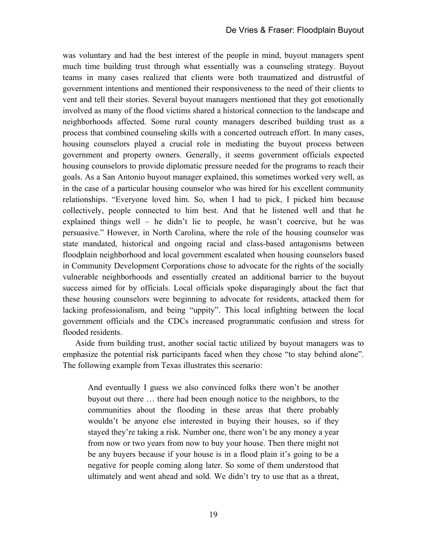was voluntary and had the best interest of the people in mind, buyout managers spent much time building trust through what essentially was a counseling strategy. Buyout teams in many cases realized that clients were both traumatized and distrustful of government intentions and mentioned their responsiveness to the need of their clients to vent and tell their stories. Several buyout managers mentioned that they got emotionally involved as many of the flood victims shared a historical connection to the landscape and neighborhoods affected. Some rural county managers described building trust as a process that combined counseling skills with a concerted outreach effort. In many cases, housing counselors played a crucial role in mediating the buyout process between government and property owners. Generally, it seems government officials expected housing counselors to provide diplomatic pressure needed for the programs to reach their goals. As a San Antonio buyout manager explained, this sometimes worked very well, as in the case of a particular housing counselor who was hired for his excellent community relationships. "Everyone loved him. So, when I had to pick, I picked him because collectively, people connected to him best. And that he listened well and that he explained things well – he didn't lie to people, he wasn't coercive, but he was persuasive." However, in North Carolina, where the role of the housing counselor was state mandated, historical and ongoing racial and class-based antagonisms between floodplain neighborhood and local government escalated when housing counselors based in Community Development Corporations chose to advocate for the rights of the socially vulnerable neighborhoods and essentially created an additional barrier to the buyout success aimed for by officials. Local officials spoke disparagingly about the fact that these housing counselors were beginning to advocate for residents, attacked them for lacking professionalism, and being "uppity". This local infighting between the local government officials and the CDCs increased programmatic confusion and stress for flooded residents.

Aside from building trust, another social tactic utilized by buyout managers was to emphasize the potential risk participants faced when they chose "to stay behind alone". The following example from Texas illustrates this scenario:

And eventually I guess we also convinced folks there won't be another buyout out there … there had been enough notice to the neighbors, to the communities about the flooding in these areas that there probably wouldn't be anyone else interested in buying their houses, so if they stayed they're taking a risk. Number one, there won't be any money a year from now or two years from now to buy your house. Then there might not be any buyers because if your house is in a flood plain it's going to be a negative for people coming along later. So some of them understood that ultimately and went ahead and sold. We didn't try to use that as a threat,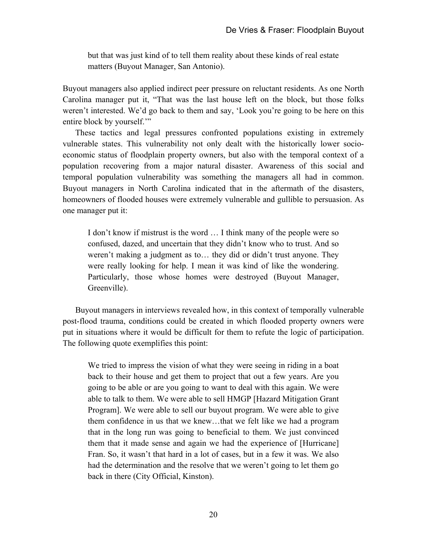but that was just kind of to tell them reality about these kinds of real estate matters (Buyout Manager, San Antonio).

Buyout managers also applied indirect peer pressure on reluctant residents. As one North Carolina manager put it, "That was the last house left on the block, but those folks weren't interested. We'd go back to them and say, 'Look you're going to be here on this entire block by yourself."

These tactics and legal pressures confronted populations existing in extremely vulnerable states. This vulnerability not only dealt with the historically lower socioeconomic status of floodplain property owners, but also with the temporal context of a population recovering from a major natural disaster. Awareness of this social and temporal population vulnerability was something the managers all had in common. Buyout managers in North Carolina indicated that in the aftermath of the disasters, homeowners of flooded houses were extremely vulnerable and gullible to persuasion. As one manager put it:

I don't know if mistrust is the word … I think many of the people were so confused, dazed, and uncertain that they didn't know who to trust. And so weren't making a judgment as to… they did or didn't trust anyone. They were really looking for help. I mean it was kind of like the wondering. Particularly, those whose homes were destroyed (Buyout Manager, Greenville).

Buyout managers in interviews revealed how, in this context of temporally vulnerable post-flood trauma, conditions could be created in which flooded property owners were put in situations where it would be difficult for them to refute the logic of participation. The following quote exemplifies this point:

We tried to impress the vision of what they were seeing in riding in a boat back to their house and get them to project that out a few years. Are you going to be able or are you going to want to deal with this again. We were able to talk to them. We were able to sell HMGP [Hazard Mitigation Grant Program]. We were able to sell our buyout program. We were able to give them confidence in us that we knew…that we felt like we had a program that in the long run was going to beneficial to them. We just convinced them that it made sense and again we had the experience of [Hurricane] Fran. So, it wasn't that hard in a lot of cases, but in a few it was. We also had the determination and the resolve that we weren't going to let them go back in there (City Official, Kinston).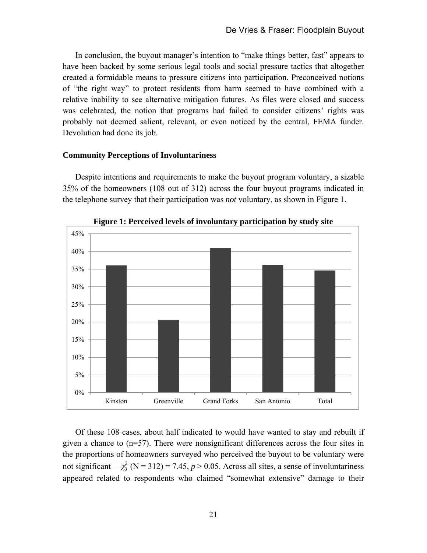In conclusion, the buyout manager's intention to "make things better, fast" appears to have been backed by some serious legal tools and social pressure tactics that altogether created a formidable means to pressure citizens into participation. Preconceived notions of "the right way" to protect residents from harm seemed to have combined with a relative inability to see alternative mitigation futures. As files were closed and success was celebrated, the notion that programs had failed to consider citizens' rights was probably not deemed salient, relevant, or even noticed by the central, FEMA funder. Devolution had done its job.

### **Community Perceptions of Involuntariness**

Despite intentions and requirements to make the buyout program voluntary, a sizable 35% of the homeowners (108 out of 312) across the four buyout programs indicated in the telephone survey that their participation was *not* voluntary, as shown in Figure 1.



**Figure 1: Perceived levels of involuntary participation by study site** 

Of these 108 cases, about half indicated to would have wanted to stay and rebuilt if given a chance to  $(n=57)$ . There were nonsignificant differences across the four sites in the proportions of homeowners surveyed who perceived the buyout to be voluntary were not significant— $\chi^2$  (N = 312) = 7.45, *p* > 0.05. Across all sites, a sense of involuntariness appeared related to respondents who claimed "somewhat extensive" damage to their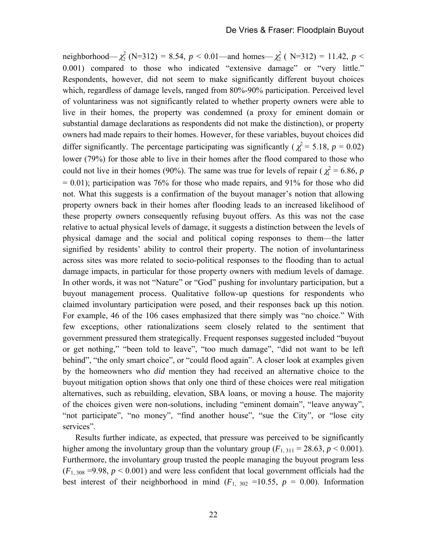neighborhood— $\chi^2$  (N=312) = 8.54, *p* < 0.01—and homes— $\chi^2$  (N=312) = 11.42, *p* < 0.001) compared to those who indicated "extensive damage" or "very little." Respondents, however, did not seem to make significantly different buyout choices which, regardless of damage levels, ranged from 80%-90% participation. Perceived level of voluntariness was not significantly related to whether property owners were able to live in their homes, the property was condemned (a proxy for eminent domain or substantial damage declarations as respondents did not make the distinction), or property owners had made repairs to their homes. However, for these variables, buyout choices did differ significantly. The percentage participating was significantly ( $\chi^2 = 5.18$ ,  $p = 0.02$ ) lower (79%) for those able to live in their homes after the flood compared to those who could not live in their homes (90%). The same was true for levels of repair ( $\chi^2 = 6.86$ , *p*  $= 0.01$ ); participation was 76% for those who made repairs, and 91% for those who did not. What this suggests is a confirmation of the buyout manager's notion that allowing property owners back in their homes after flooding leads to an increased likelihood of these property owners consequently refusing buyout offers. As this was not the case relative to actual physical levels of damage, it suggests a distinction between the levels of physical damage and the social and political coping responses to them—the latter signified by residents' ability to control their property. The notion of involuntariness across sites was more related to socio-political responses to the flooding than to actual damage impacts, in particular for those property owners with medium levels of damage. In other words, it was not "Nature" or "God" pushing for involuntary participation, but a buyout management process. Qualitative follow-up questions for respondents who claimed involuntary participation were posed, and their responses back up this notion. For example, 46 of the 106 cases emphasized that there simply was "no choice." With few exceptions, other rationalizations seem closely related to the sentiment that government pressured them strategically. Frequent responses suggested included "buyout or get nothing," "been told to leave", "too much damage", "did not want to be left behind", "the only smart choice", or "could flood again". A closer look at examples given by the homeowners who *did* mention they had received an alternative choice to the buyout mitigation option shows that only one third of these choices were real mitigation alternatives, such as rebuilding, elevation, SBA loans, or moving a house. The majority of the choices given were non-solutions, including "eminent domain", "leave anyway", "not participate", "no money", "find another house", "sue the City", or "lose city services".

Results further indicate, as expected, that pressure was perceived to be significantly higher among the involuntary group than the voluntary group  $(F_{1, 311} = 28.63, p \le 0.001)$ . Furthermore, the involuntary group trusted the people managing the buyout program less  $(F_{1, 308} = 9.98, p \le 0.001)$  and were less confident that local government officials had the best interest of their neighborhood in mind  $(F_{1, 302} = 10.55, p = 0.00)$ . Information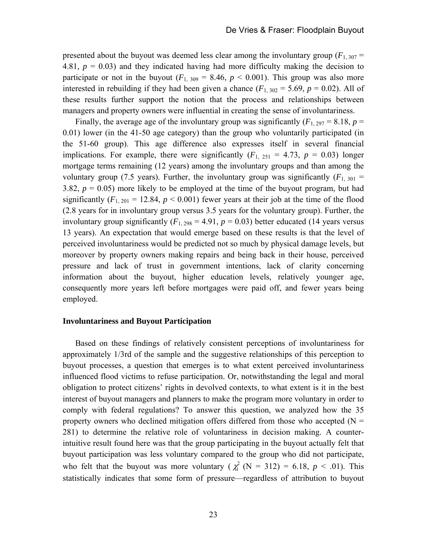presented about the buyout was deemed less clear among the involuntary group  $(F_{1, 307} =$ 4.81,  $p = 0.03$ ) and they indicated having had more difficulty making the decision to participate or not in the buyout  $(F_{1, 309} = 8.46, p < 0.001)$ . This group was also more interested in rebuilding if they had been given a chance  $(F_{1, 302} = 5.69, p = 0.02)$ . All of these results further support the notion that the process and relationships between managers and property owners were influential in creating the sense of involuntariness.

Finally, the average age of the involuntary group was significantly  $(F_{1, 297} = 8.18, p =$ 0.01) lower (in the 41-50 age category) than the group who voluntarily participated (in the 51-60 group). This age difference also expresses itself in several financial implications. For example, there were significantly  $(F_1, 251 = 4.73, p = 0.03)$  longer mortgage terms remaining (12 years) among the involuntary groups and than among the voluntary group (7.5 years). Further, the involuntary group was significantly  $(F_{1, 301} =$ 3.82,  $p = 0.05$ ) more likely to be employed at the time of the buyout program, but had significantly  $(F_{1, 201} = 12.84, p < 0.001)$  fewer years at their job at the time of the flood (2.8 years for in involuntary group versus 3.5 years for the voluntary group). Further, the involuntary group significantly  $(F_{1, 298} = 4.91, p = 0.03)$  better educated (14 years versus 13 years). An expectation that would emerge based on these results is that the level of perceived involuntariness would be predicted not so much by physical damage levels, but moreover by property owners making repairs and being back in their house, perceived pressure and lack of trust in government intentions, lack of clarity concerning information about the buyout, higher education levels, relatively younger age, consequently more years left before mortgages were paid off, and fewer years being employed.

#### **Involuntariness and Buyout Participation**

Based on these findings of relatively consistent perceptions of involuntariness for approximately 1/3rd of the sample and the suggestive relationships of this perception to buyout processes, a question that emerges is to what extent perceived involuntariness influenced flood victims to refuse participation. Or, notwithstanding the legal and moral obligation to protect citizens' rights in devolved contexts, to what extent is it in the best interest of buyout managers and planners to make the program more voluntary in order to comply with federal regulations? To answer this question, we analyzed how the 35 property owners who declined mitigation offers differed from those who accepted  $(N =$ 281) to determine the relative role of voluntariness in decision making. A counterintuitive result found here was that the group participating in the buyout actually felt that buyout participation was less voluntary compared to the group who did not participate, who felt that the buyout was more voluntary ( $\chi^2$  (N = 312) = 6.18, *p* < .01). This statistically indicates that some form of pressure—regardless of attribution to buyout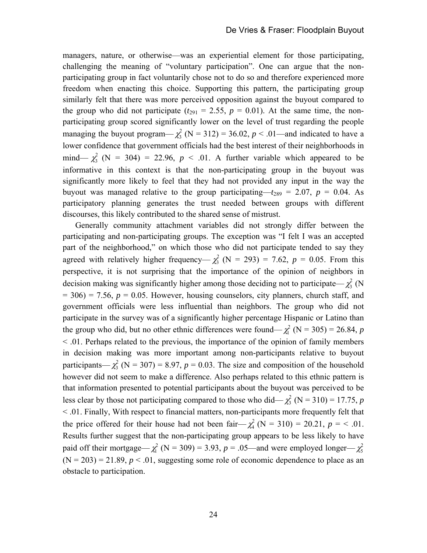managers, nature, or otherwise—was an experiential element for those participating, challenging the meaning of "voluntary participation". One can argue that the nonparticipating group in fact voluntarily chose not to do so and therefore experienced more freedom when enacting this choice. Supporting this pattern, the participating group similarly felt that there was more perceived opposition against the buyout compared to the group who did not participate ( $t_{291} = 2.55$ ,  $p = 0.01$ ). At the same time, the nonparticipating group scored significantly lower on the level of trust regarding the people managing the buyout program— $\chi^2$  (N = 312) = 36.02, *p* < .01—and indicated to have a lower confidence that government officials had the best interest of their neighborhoods in mind—  $\chi^2$  (N = 304) = 22.96,  $p < .01$ . A further variable which appeared to be informative in this context is that the non-participating group in the buyout was significantly more likely to feel that they had not provided any input in the way the buyout was managed relative to the group participating— $t_{289} = 2.07$ ,  $p = 0.04$ . As participatory planning generates the trust needed between groups with different discourses, this likely contributed to the shared sense of mistrust.

Generally community attachment variables did not strongly differ between the participating and non-participating groups. The exception was "I felt I was an accepted part of the neighborhood," on which those who did not participate tended to say they agreed with relatively higher frequency—  $\chi^2$  (N = 293) = 7.62, p = 0.05. From this perspective, it is not surprising that the importance of the opinion of neighbors in decision making was significantly higher among those deciding not to participate— $\chi^2$  (N  $= 306$ )  $= 7.56$ ,  $p = 0.05$ . However, housing counselors, city planners, church staff, and government officials were less influential than neighbors. The group who did not participate in the survey was of a significantly higher percentage Hispanic or Latino than the group who did, but no other ethnic differences were found— $\chi^2$  (N = 305) = 26.84, *p* < .01. Perhaps related to the previous, the importance of the opinion of family members in decision making was more important among non-participants relative to buyout participants— $\chi^2$  (N = 307) = 8.97,  $p = 0.03$ . The size and composition of the household however did not seem to make a difference. Also perhaps related to this ethnic pattern is that information presented to potential participants about the buyout was perceived to be less clear by those not participating compared to those who did— $\chi^2$  (N = 310) = 17.75, *p* < .01. Finally, With respect to financial matters, non-participants more frequently felt that the price offered for their house had not been fair— $\chi^2$  (N = 310) = 20.21, *p* = < .01. Results further suggest that the non-participating group appears to be less likely to have paid off their mortgage— $\chi^2$  (N = 309) = 3.93, *p* = .05—and were employed longer— $\chi^2$  $(N = 203) = 21.89$ ,  $p < .01$ , suggesting some role of economic dependence to place as an obstacle to participation.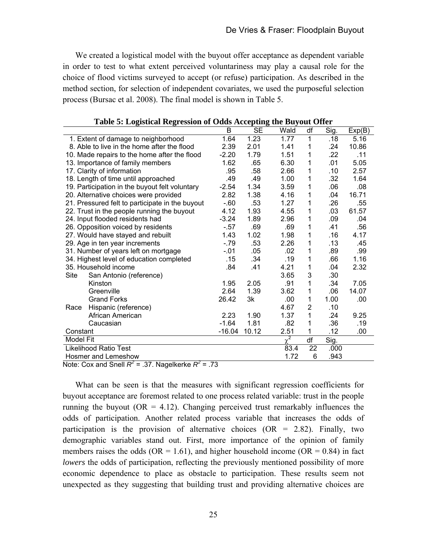We created a logistical model with the buyout offer acceptance as dependent variable in order to test to what extent perceived voluntariness may play a causal role for the choice of flood victims surveyed to accept (or refuse) participation. As described in the method section, for selection of independent covariates, we used the purposeful selection process (Bursac et al. 2008). The final model is shown in Table 5.

| 1.23<br>1.64<br>1.77<br>5.16<br>1. Extent of damage to neighborhood<br>1<br>.18<br>8. Able to live in the home after the flood<br>2.39<br>2.01<br>10.86<br>1.41<br>1<br>.24<br>.22<br>1.79<br>1.51<br>10. Made repairs to the home after the flood<br>$-2.20$<br>1<br>.11<br>1.62<br>6.30<br>5.05<br>.65<br>1<br>.01<br>13. Importance of family members<br>17. Clarity of information<br>.95<br>.58<br>2.66<br>.10<br>1<br>2.57<br>18. Length of time until approached<br>.49<br>.49<br>1.00<br>.32<br>1<br>1.64<br>1.34<br>.06<br>.08<br>19. Participation in the buyout felt voluntary<br>$-2.54$<br>3.59<br>1<br>20. Alternative choices were provided<br>2.82<br>1.38<br>4.16<br>16.71<br>.04<br>1<br>21. Pressured felt to participate in the buyout<br>.53<br>.26<br>$-60$<br>1.27<br>1<br>.55<br>4.12<br>1.93<br>4.55<br>.03<br>22. Trust in the people running the buyout<br>1<br>61.57 |
|--------------------------------------------------------------------------------------------------------------------------------------------------------------------------------------------------------------------------------------------------------------------------------------------------------------------------------------------------------------------------------------------------------------------------------------------------------------------------------------------------------------------------------------------------------------------------------------------------------------------------------------------------------------------------------------------------------------------------------------------------------------------------------------------------------------------------------------------------------------------------------------------------|
|                                                                                                                                                                                                                                                                                                                                                                                                                                                                                                                                                                                                                                                                                                                                                                                                                                                                                                  |
|                                                                                                                                                                                                                                                                                                                                                                                                                                                                                                                                                                                                                                                                                                                                                                                                                                                                                                  |
|                                                                                                                                                                                                                                                                                                                                                                                                                                                                                                                                                                                                                                                                                                                                                                                                                                                                                                  |
|                                                                                                                                                                                                                                                                                                                                                                                                                                                                                                                                                                                                                                                                                                                                                                                                                                                                                                  |
|                                                                                                                                                                                                                                                                                                                                                                                                                                                                                                                                                                                                                                                                                                                                                                                                                                                                                                  |
|                                                                                                                                                                                                                                                                                                                                                                                                                                                                                                                                                                                                                                                                                                                                                                                                                                                                                                  |
|                                                                                                                                                                                                                                                                                                                                                                                                                                                                                                                                                                                                                                                                                                                                                                                                                                                                                                  |
|                                                                                                                                                                                                                                                                                                                                                                                                                                                                                                                                                                                                                                                                                                                                                                                                                                                                                                  |
|                                                                                                                                                                                                                                                                                                                                                                                                                                                                                                                                                                                                                                                                                                                                                                                                                                                                                                  |
|                                                                                                                                                                                                                                                                                                                                                                                                                                                                                                                                                                                                                                                                                                                                                                                                                                                                                                  |
| 24. Input flooded residents had<br>$-3.24$<br>1.89<br>2.96<br>.09<br>1<br>.04                                                                                                                                                                                                                                                                                                                                                                                                                                                                                                                                                                                                                                                                                                                                                                                                                    |
| 26. Opposition voiced by residents<br>$-57$<br>.69<br>.69<br>.41<br>.56<br>1                                                                                                                                                                                                                                                                                                                                                                                                                                                                                                                                                                                                                                                                                                                                                                                                                     |
| 1.43<br>1.02<br>1.98<br>1<br>.16<br>4.17<br>27. Would have stayed and rebuilt                                                                                                                                                                                                                                                                                                                                                                                                                                                                                                                                                                                                                                                                                                                                                                                                                    |
| $-79$<br>.53<br>2.26<br>.13<br>.45<br>29. Age in ten year increments<br>1                                                                                                                                                                                                                                                                                                                                                                                                                                                                                                                                                                                                                                                                                                                                                                                                                        |
| 31. Number of years left on mortgage<br>$-.01$<br>.05<br>.89<br>.99<br>.02<br>1                                                                                                                                                                                                                                                                                                                                                                                                                                                                                                                                                                                                                                                                                                                                                                                                                  |
| .34<br>.19<br>1.16<br>.66<br>34. Highest level of education completed<br>.15<br>1                                                                                                                                                                                                                                                                                                                                                                                                                                                                                                                                                                                                                                                                                                                                                                                                                |
| 35. Household income<br>4.21<br>.84<br>.41<br>1<br>.04<br>2.32                                                                                                                                                                                                                                                                                                                                                                                                                                                                                                                                                                                                                                                                                                                                                                                                                                   |
| 3<br>3.65<br>.30<br>Site<br>San Antonio (reference)                                                                                                                                                                                                                                                                                                                                                                                                                                                                                                                                                                                                                                                                                                                                                                                                                                              |
| 2.05<br>1.95<br>7.05<br>Kinston<br>.91<br>1<br>.34                                                                                                                                                                                                                                                                                                                                                                                                                                                                                                                                                                                                                                                                                                                                                                                                                                               |
| 1.39<br>2.64<br>3.62<br>.06<br>14.07<br>Greenville<br>1                                                                                                                                                                                                                                                                                                                                                                                                                                                                                                                                                                                                                                                                                                                                                                                                                                          |
| <b>Grand Forks</b><br>26.42<br>1.00<br>3k<br>.00<br>1<br>.00                                                                                                                                                                                                                                                                                                                                                                                                                                                                                                                                                                                                                                                                                                                                                                                                                                     |
| $\overline{2}$<br>4.67<br>.10<br>Hispanic (reference)<br>Race                                                                                                                                                                                                                                                                                                                                                                                                                                                                                                                                                                                                                                                                                                                                                                                                                                    |
| 1.90<br>1.37<br>African American<br>2.23<br>1<br>9.25<br>.24                                                                                                                                                                                                                                                                                                                                                                                                                                                                                                                                                                                                                                                                                                                                                                                                                                     |
| 1.81<br>$-1.64$<br>.82<br>.36<br>Caucasian<br>1<br>.19                                                                                                                                                                                                                                                                                                                                                                                                                                                                                                                                                                                                                                                                                                                                                                                                                                           |
| 10.12<br>2.51<br>.12<br>Constant<br>$-16.04$<br>1<br>.00                                                                                                                                                                                                                                                                                                                                                                                                                                                                                                                                                                                                                                                                                                                                                                                                                                         |
| 2<br><b>Model Fit</b><br>df<br>Sig.<br>$\chi$                                                                                                                                                                                                                                                                                                                                                                                                                                                                                                                                                                                                                                                                                                                                                                                                                                                    |
| 22<br>Likelihood Ratio Test<br>83.4<br>.000                                                                                                                                                                                                                                                                                                                                                                                                                                                                                                                                                                                                                                                                                                                                                                                                                                                      |
| 1.72<br>6<br>Hosmer and Lemeshow<br>.943<br>$\mathsf{P}^2$<br>$N = 1$<br>$27$ Marshall and $\sim$<br>$\overline{\phantom{a}}$                                                                                                                                                                                                                                                                                                                                                                                                                                                                                                                                                                                                                                                                                                                                                                    |

|  | Table 5: Logistical Regression of Odds Accepting the Buyout Offer |  |  |  |
|--|-------------------------------------------------------------------|--|--|--|
|  |                                                                   |  |  |  |

Note: Cox and Snell  $R^2$  = .37. Nagelkerke  $R^2$  = .73

What can be seen is that the measures with significant regression coefficients for buyout acceptance are foremost related to one process related variable: trust in the people running the buyout ( $OR = 4.12$ ). Changing perceived trust remarkably influences the odds of participation. Another related process variable that increases the odds of participation is the provision of alternative choices  $(OR = 2.82)$ . Finally, two demographic variables stand out. First, more importance of the opinion of family members raises the odds ( $OR = 1.61$ ), and higher household income ( $OR = 0.84$ ) in fact *lowers* the odds of participation, reflecting the previously mentioned possibility of more economic dependence to place as obstacle to participation. These results seem not unexpected as they suggesting that building trust and providing alternative choices are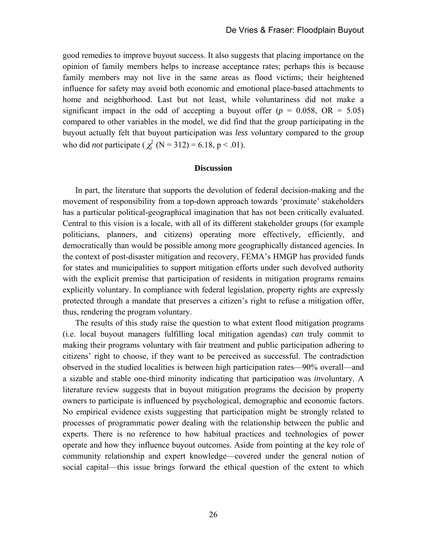good remedies to improve buyout success. It also suggests that placing importance on the opinion of family members helps to increase acceptance rates; perhaps this is because family members may not live in the same areas as flood victims; their heightened influence for safety may avoid both economic and emotional place-based attachments to home and neighborhood. Last but not least, while voluntariness did not make a significant impact in the odd of accepting a buyout offer  $(p = 0.058, \text{ OR } = 5.05)$ compared to other variables in the model, we did find that the group participating in the buyout actually felt that buyout participation was *less* voluntary compared to the group who did *not* participate ( $\chi^2$  (N = 312) = 6.18, p < .01).

#### **Discussion**

In part, the literature that supports the devolution of federal decision-making and the movement of responsibility from a top-down approach towards 'proximate' stakeholders has a particular political-geographical imagination that has not been critically evaluated. Central to this vision is a locale, with all of its different stakeholder groups (for example politicians, planners, and citizens) operating more effectively, efficiently, and democratically than would be possible among more geographically distanced agencies. In the context of post-disaster mitigation and recovery, FEMA's HMGP has provided funds for states and municipalities to support mitigation efforts under such devolved authority with the explicit premise that participation of residents in mitigation programs remains explicitly voluntary. In compliance with federal legislation, property rights are expressly protected through a mandate that preserves a citizen's right to refuse a mitigation offer, thus, rendering the program voluntary.

The results of this study raise the question to what extent flood mitigation programs (i.e. local buyout managers fulfilling local mitigation agendas) *can* truly commit to making their programs voluntary with fair treatment and public participation adhering to citizens' right to choose, if they want to be perceived as successful. The contradiction observed in the studied localities is between high participation rates—90% overall—and a sizable and stable one-third minority indicating that participation was *in*voluntary. A literature review suggests that in buyout mitigation programs the decision by property owners to participate is influenced by psychological, demographic and economic factors. No empirical evidence exists suggesting that participation might be strongly related to processes of programmatic power dealing with the relationship between the public and experts. There is no reference to how habitual practices and technologies of power operate and how they influence buyout outcomes. Aside from pointing at the key role of community relationship and expert knowledge—covered under the general notion of social capital—this issue brings forward the ethical question of the extent to which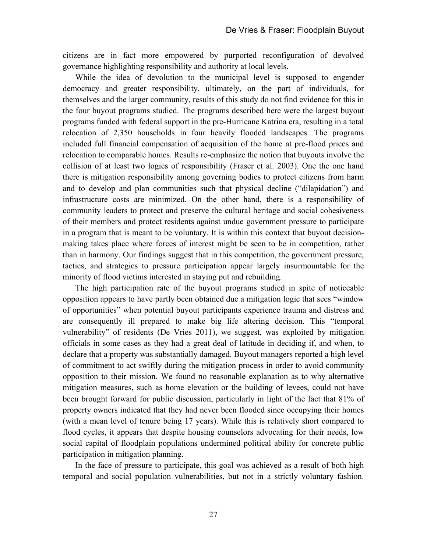citizens are in fact more empowered by purported reconfiguration of devolved governance highlighting responsibility and authority at local levels.

While the idea of devolution to the municipal level is supposed to engender democracy and greater responsibility, ultimately, on the part of individuals, for themselves and the larger community, results of this study do not find evidence for this in the four buyout programs studied. The programs described here were the largest buyout programs funded with federal support in the pre-Hurricane Katrina era, resulting in a total relocation of 2,350 households in four heavily flooded landscapes. The programs included full financial compensation of acquisition of the home at pre-flood prices and relocation to comparable homes. Results re-emphasize the notion that buyouts involve the collision of at least two logics of responsibility (Fraser et al. 2003). One the one hand there is mitigation responsibility among governing bodies to protect citizens from harm and to develop and plan communities such that physical decline ("dilapidation") and infrastructure costs are minimized. On the other hand, there is a responsibility of community leaders to protect and preserve the cultural heritage and social cohesiveness of their members and protect residents against undue government pressure to participate in a program that is meant to be voluntary. It is within this context that buyout decisionmaking takes place where forces of interest might be seen to be in competition, rather than in harmony. Our findings suggest that in this competition, the government pressure, tactics, and strategies to pressure participation appear largely insurmountable for the minority of flood victims interested in staying put and rebuilding.

The high participation rate of the buyout programs studied in spite of noticeable opposition appears to have partly been obtained due a mitigation logic that sees "window of opportunities" when potential buyout participants experience trauma and distress and are consequently ill prepared to make big life altering decision. This "temporal vulnerability" of residents (De Vries 2011), we suggest, was exploited by mitigation officials in some cases as they had a great deal of latitude in deciding if, and when, to declare that a property was substantially damaged. Buyout managers reported a high level of commitment to act swiftly during the mitigation process in order to avoid community opposition to their mission. We found no reasonable explanation as to why alternative mitigation measures, such as home elevation or the building of levees, could not have been brought forward for public discussion, particularly in light of the fact that 81% of property owners indicated that they had never been flooded since occupying their homes (with a mean level of tenure being 17 years). While this is relatively short compared to flood cycles, it appears that despite housing counselors advocating for their needs, low social capital of floodplain populations undermined political ability for concrete public participation in mitigation planning.

In the face of pressure to participate, this goal was achieved as a result of both high temporal and social population vulnerabilities, but not in a strictly voluntary fashion.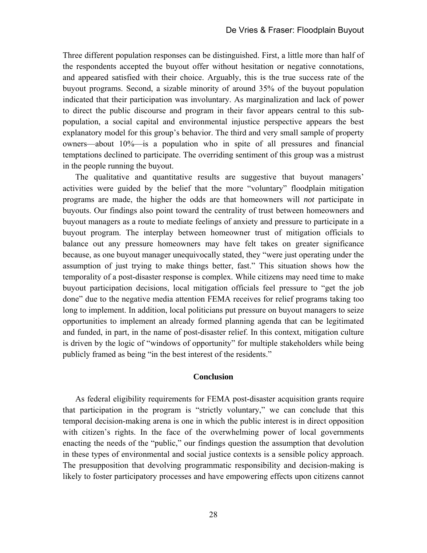Three different population responses can be distinguished. First, a little more than half of the respondents accepted the buyout offer without hesitation or negative connotations, and appeared satisfied with their choice. Arguably, this is the true success rate of the buyout programs. Second, a sizable minority of around 35% of the buyout population indicated that their participation was involuntary. As marginalization and lack of power to direct the public discourse and program in their favor appears central to this subpopulation, a social capital and environmental injustice perspective appears the best explanatory model for this group's behavior. The third and very small sample of property owners—about 10%—is a population who in spite of all pressures and financial temptations declined to participate. The overriding sentiment of this group was a mistrust in the people running the buyout.

The qualitative and quantitative results are suggestive that buyout managers' activities were guided by the belief that the more "voluntary" floodplain mitigation programs are made, the higher the odds are that homeowners will *not* participate in buyouts. Our findings also point toward the centrality of trust between homeowners and buyout managers as a route to mediate feelings of anxiety and pressure to participate in a buyout program. The interplay between homeowner trust of mitigation officials to balance out any pressure homeowners may have felt takes on greater significance because, as one buyout manager unequivocally stated, they "were just operating under the assumption of just trying to make things better, fast." This situation shows how the temporality of a post-disaster response is complex. While citizens may need time to make buyout participation decisions, local mitigation officials feel pressure to "get the job done" due to the negative media attention FEMA receives for relief programs taking too long to implement. In addition, local politicians put pressure on buyout managers to seize opportunities to implement an already formed planning agenda that can be legitimated and funded, in part, in the name of post-disaster relief. In this context, mitigation culture is driven by the logic of "windows of opportunity" for multiple stakeholders while being publicly framed as being "in the best interest of the residents."

## **Conclusion**

As federal eligibility requirements for FEMA post-disaster acquisition grants require that participation in the program is "strictly voluntary," we can conclude that this temporal decision-making arena is one in which the public interest is in direct opposition with citizen's rights. In the face of the overwhelming power of local governments enacting the needs of the "public," our findings question the assumption that devolution in these types of environmental and social justice contexts is a sensible policy approach. The presupposition that devolving programmatic responsibility and decision-making is likely to foster participatory processes and have empowering effects upon citizens cannot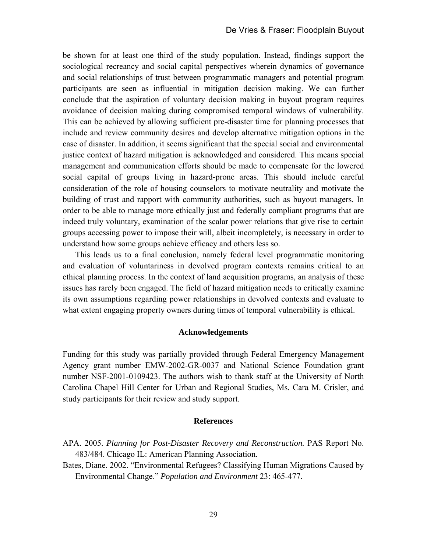be shown for at least one third of the study population. Instead, findings support the sociological recreancy and social capital perspectives wherein dynamics of governance and social relationships of trust between programmatic managers and potential program participants are seen as influential in mitigation decision making. We can further conclude that the aspiration of voluntary decision making in buyout program requires avoidance of decision making during compromised temporal windows of vulnerability. This can be achieved by allowing sufficient pre-disaster time for planning processes that include and review community desires and develop alternative mitigation options in the case of disaster. In addition, it seems significant that the special social and environmental justice context of hazard mitigation is acknowledged and considered. This means special management and communication efforts should be made to compensate for the lowered social capital of groups living in hazard-prone areas. This should include careful consideration of the role of housing counselors to motivate neutrality and motivate the building of trust and rapport with community authorities, such as buyout managers. In order to be able to manage more ethically just and federally compliant programs that are indeed truly voluntary, examination of the scalar power relations that give rise to certain groups accessing power to impose their will, albeit incompletely, is necessary in order to understand how some groups achieve efficacy and others less so.

This leads us to a final conclusion, namely federal level programmatic monitoring and evaluation of voluntariness in devolved program contexts remains critical to an ethical planning process. In the context of land acquisition programs, an analysis of these issues has rarely been engaged. The field of hazard mitigation needs to critically examine its own assumptions regarding power relationships in devolved contexts and evaluate to what extent engaging property owners during times of temporal vulnerability is ethical.

### **Acknowledgements**

Funding for this study was partially provided through Federal Emergency Management Agency grant number EMW-2002-GR-0037 and National Science Foundation grant number NSF-2001-0109423. The authors wish to thank staff at the University of North Carolina Chapel Hill Center for Urban and Regional Studies, Ms. Cara M. Crisler, and study participants for their review and study support.

#### **References**

- APA. 2005. *Planning for Post-Disaster Recovery and Reconstruction.* PAS Report No. 483/484. Chicago IL: American Planning Association.
- Bates, Diane. 2002. "Environmental Refugees? Classifying Human Migrations Caused by Environmental Change." *Population and Environment* 23: 465-477.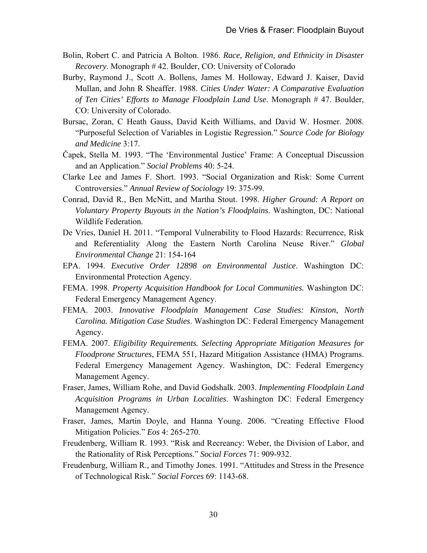- Bolin, Robert C. and Patricia A Bolton. 1986. *Race, Religion, and Ethnicity in Disaster Recovery*. Monograph # 42. Boulder, CO: University of Colorado
- Burby, Raymond J., Scott A. Bollens, James M. Holloway, Edward J. Kaiser, David Mullan, and John R Sheaffer. 1988. *Cities Under Water: A Comparative Evaluation of Ten Cities' Efforts to Manage Floodplain Land Use*. Monograph # 47. Boulder, CO: University of Colorado.
- Bursac, Zoran, C Heath Gauss, David Keith Williams, and David W. Hosmer. 2008. "Purposeful Selection of Variables in Logistic Regression." *Source Code for Biology and Medicine* 3:17.
- Čapek, Stella M. 1993. "The 'Environmental Justice' Frame: A Conceptual Discussion and an Application." *Social Problems* 40: 5-24.
- Clarke Lee and James F. Short. 1993. "Social Organization and Risk: Some Current Controversies." *Annual Review of Sociology* 19: 375-99.
- Conrad, David R., Ben McNitt, and Martha Stout. 1998. *Higher Ground: A Report on Voluntary Property Buyouts in the Nation's Floodplains*. Washington, DC: National Wildlife Federation.
- De Vries, Daniel H. 2011. "Temporal Vulnerability to Flood Hazards: Recurrence, Risk and Referentiality Along the Eastern North Carolina Neuse River." *Global Environmental Change* 21: 154-164
- EPA. 1994. *Executive Order 12898 on Environmental Justice*. Washington DC: Environmental Protection Agency.
- FEMA. 1998. *Property Acquisition Handbook for Local Communities.* Washington DC: Federal Emergency Management Agency.
- FEMA. 2003. *Innovative Floodplain Management Case Studies: Kinston, North Carolina. Mitigation Case Studies*. Washington DC: Federal Emergency Management Agency.
- FEMA. 2007. *Eligibility Requirements. Selecting Appropriate Mitigation Measures for Floodprone Structures*, FEMA 551, Hazard Mitigation Assistance (HMA) Programs. Federal Emergency Management Agency. Washington, DC: Federal Emergency Management Agency.
- Fraser, James, William Rohe, and David Godshalk. 2003. *Implementing Floodplain Land Acquisition Programs in Urban Localities*. Washington DC: Federal Emergency Management Agency.
- Fraser, James, Martin Doyle, and Hanna Young. 2006. "Creating Effective Flood Mitigation Policies." *Eos* 4: 265-270.
- Freudenberg, William R. 1993. "Risk and Recreancy: Weber, the Division of Labor, and the Rationality of Risk Perceptions." *Social Forces* 71: 909-932.
- Freudenburg, William R., and Timothy Jones. 1991. "Attitudes and Stress in the Presence of Technological Risk." *Social Forces* 69: 1143-68.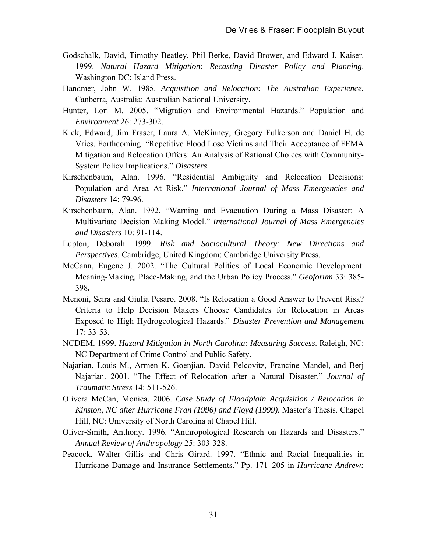- Godschalk, David, Timothy Beatley, Phil Berke, David Brower, and Edward J. Kaiser. 1999. *Natural Hazard Mitigation: Recasting Disaster Policy and Planning*. Washington DC: Island Press.
- Handmer, John W. 1985. *Acquisition and Relocation: The Australian Experience.* Canberra, Australia: Australian National University.
- Hunter, Lori M. 2005. "Migration and Environmental Hazards." Population and *Environment* 26: 273-302.
- Kick, Edward, Jim Fraser, Laura A. McKinney, Gregory Fulkerson and Daniel H. de Vries. Forthcoming. "Repetitive Flood Lose Victims and Their Acceptance of FEMA Mitigation and Relocation Offers: An Analysis of Rational Choices with Community-System Policy Implications." *Disasters*.
- Kirschenbaum, Alan. 1996. "Residential Ambiguity and Relocation Decisions: Population and Area At Risk." *International Journal of Mass Emergencies and Disasters* 14: 79-96.
- Kirschenbaum, Alan. 1992. "Warning and Evacuation During a Mass Disaster: A Multivariate Decision Making Model." *International Journal of Mass Emergencies and Disasters* 10: 91-114.
- Lupton, Deborah. 1999. *Risk and Sociocultural Theory: New Directions and Perspectives*. Cambridge, United Kingdom: Cambridge University Press.
- McCann, Eugene J. 2002. "The Cultural Politics of Local Economic Development: Meaning-Making, Place-Making, and the Urban Policy Process." *Geoforum* 33: 385- 398**.**
- Menoni, Scira and Giulia Pesaro. 2008. "Is Relocation a Good Answer to Prevent Risk? Criteria to Help Decision Makers Choose Candidates for Relocation in Areas Exposed to High Hydrogeological Hazards." *Disaster Prevention and Management*  17: 33-53.
- NCDEM. 1999. *Hazard Mitigation in North Carolina: Measuring Success*. Raleigh, NC: NC Department of Crime Control and Public Safety.
- Najarian, Louis M., Armen K. Goenjian, David Pelcovitz, Francine Mandel, and Berj Najarian. 2001. "The Effect of Relocation after a Natural Disaster." *Journal of Traumatic Stress* 14: 511-526.
- Olivera McCan, Monica. 2006. *Case Study of Floodplain Acquisition / Relocation in Kinston, NC after Hurricane Fran (1996) and Floyd (1999).* Master's Thesis. Chapel Hill, NC: University of North Carolina at Chapel Hill.
- Oliver-Smith, Anthony. 1996. "Anthropological Research on Hazards and Disasters." *Annual Review of Anthropology* 25: 303-328.
- Peacock, Walter Gillis and Chris Girard. 1997. "Ethnic and Racial Inequalities in Hurricane Damage and Insurance Settlements." Pp. 171–205 in *Hurricane Andrew:*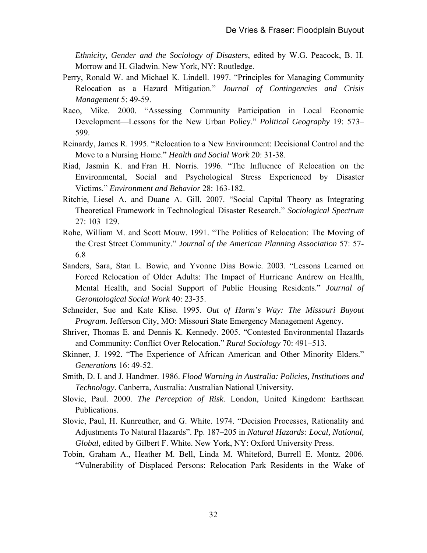*Ethnicity, Gender and the Sociology of Disasters*, edited by W.G. Peacock, B. H. Morrow and H. Gladwin. New York, NY: Routledge.

- Perry, Ronald W. and Michael K. Lindell. 1997. "Principles for Managing Community Relocation as a Hazard Mitigation." *Journal of Contingencies and Crisis Management* 5: 49-59.
- Raco, Mike. 2000. "Assessing Community Participation in Local Economic Development—Lessons for the New Urban Policy." *Political Geography* 19: 573– 599.
- Reinardy, James R. 1995. "Relocation to a New Environment: Decisional Control and the Move to a Nursing Home." *Health and Social Work* 20: 31-38.
- Riad, Jasmin K. and Fran H. Norris. 1996. "The Influence of Relocation on the Environmental, Social and Psychological Stress Experienced by Disaster Victims." *Environment and Behavior* 28: 163-182.
- Ritchie, Liesel A. and Duane A. Gill. 2007. "Social Capital Theory as Integrating Theoretical Framework in Technological Disaster Research." *Sociological Spectrum*  27: 103–129.
- Rohe, William M. and Scott Mouw. 1991. "The Politics of Relocation: The Moving of the Crest Street Community." *Journal of the American Planning Association* 57: 57- 6.8
- Sanders, Sara, Stan L. Bowie, and Yvonne Dias Bowie. 2003. "Lessons Learned on Forced Relocation of Older Adults: The Impact of Hurricane Andrew on Health, Mental Health, and Social Support of Public Housing Residents." *Journal of Gerontological Social Work* 40: 23-35.
- Schneider, Sue and Kate Klise. 1995. *Out of Harm's Way: The Missouri Buyout Program.* Jefferson City, MO: Missouri State Emergency Management Agency.
- Shriver, Thomas E. and Dennis K. Kennedy. 2005. "Contested Environmental Hazards and Community: Conflict Over Relocation." *Rural Sociology* 70: 491–513.
- Skinner, J. 1992. "The Experience of African American and Other Minority Elders." *Generations* 16: 49-52.
- Smith, D. I. and J. Handmer. 1986. *Flood Warning in Australia: Policies, Institutions and Technology*. Canberra, Australia: Australian National University.
- Slovic, Paul. 2000. *The Perception of Risk*. London, United Kingdom: Earthscan Publications.
- Slovic, Paul, H. Kunreuther, and G. White. 1974. "Decision Processes, Rationality and Adjustments To Natural Hazards". Pp. 187–205 in *Natural Hazards: Local, National, Global,* edited by Gilbert F. White. New York, NY: Oxford University Press.
- Tobin, Graham A., Heather M. Bell, Linda M. Whiteford, Burrell E. Montz. 2006. "Vulnerability of Displaced Persons: Relocation Park Residents in the Wake of